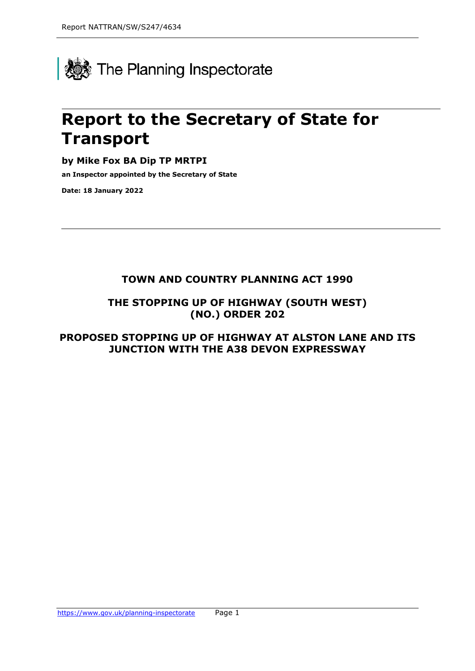

# **Report to the Secretary of State for Transport**

**by Mike Fox BA Dip TP MRTPI**

**an Inspector appointed by the Secretary of State** 

**Date: 18 January 2022**

# **TOWN AND COUNTRY PLANNING ACT 1990**

**THE STOPPING UP OF HIGHWAY (SOUTH WEST) (NO.) ORDER 202**

**PROPOSED STOPPING UP OF HIGHWAY AT ALSTON LANE AND ITS JUNCTION WITH THE A38 DEVON EXPRESSWAY**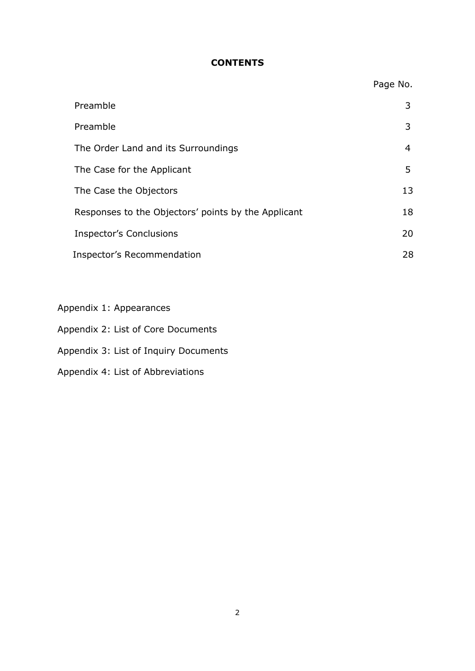## **CONTENTS**

|                                                     | Page No. |
|-----------------------------------------------------|----------|
| Preamble                                            | 3        |
| Preamble                                            | 3        |
| The Order Land and its Surroundings                 | 4        |
| The Case for the Applicant                          | 5        |
| The Case the Objectors                              | 13       |
| Responses to the Objectors' points by the Applicant | 18       |
| <b>Inspector's Conclusions</b>                      | 20       |
| Inspector's Recommendation                          | 28       |

- Appendix 1: Appearances
- Appendix 2: List of Core Documents
- Appendix 3: List of Inquiry Documents
- Appendix 4: List of Abbreviations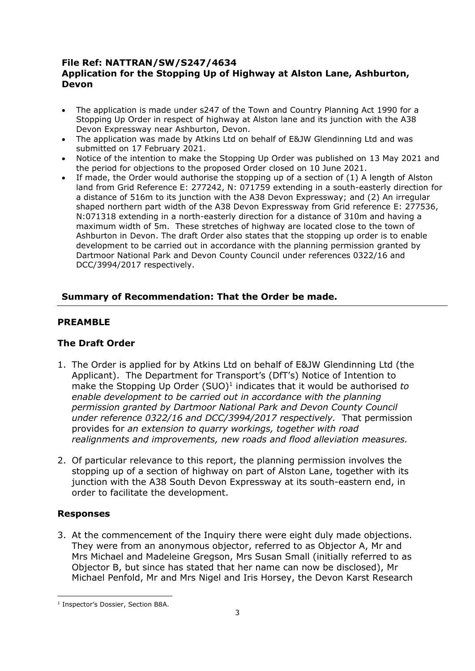### **File Ref: NATTRAN/SW/S247/4634 Application for the Stopping Up of Highway at Alston Lane, Ashburton, Devon**

- The application is made under s247 of the Town and Country Planning Act 1990 for a Stopping Up Order in respect of highway at Alston lane and its junction with the A38 Devon Expressway near Ashburton, Devon.
- The application was made by Atkins Ltd on behalf of E&JW Glendinning Ltd and was submitted on 17 February 2021.
- Notice of the intention to make the Stopping Up Order was published on 13 May 2021 and the period for objections to the proposed Order closed on 10 June 2021.
- If made, the Order would authorise the stopping up of a section of (1) A length of Alston land from Grid Reference E: 277242, N: 071759 extending in a south-easterly direction for a distance of 516m to its junction with the A38 Devon Expressway; and (2) An irregular shaped northern part width of the A38 Devon Expressway from Grid reference E: 277536, N:071318 extending in a north-easterly direction for a distance of 310m and having a maximum width of 5m. These stretches of highway are located close to the town of Ashburton in Devon. The draft Order also states that the stopping up order is to enable development to be carried out in accordance with the planning permission granted by Dartmoor National Park and Devon County Council under references 0322/16 and DCC/3994/2017 respectively.

## **Summary of Recommendation: That the Order be made.**

## **PREAMBLE**

## **The Draft Order**

- 1. The Order is applied for by Atkins Ltd on behalf of E&JW Glendinning Ltd (the Applicant). The Department for Transport's (DfT's) Notice of Intention to make the Stopping Up Order (SUO)<sup>1</sup> indicates that it would be authorised to *enable development to be carried out in accordance with the planning permission granted by Dartmoor National Park and Devon County Council under reference 0322/16 and DCC/3994/2017 respectively.* That permission provides for *an extension to quarry workings, together with road realignments and improvements, new roads and flood alleviation measures.*
- 2. Of particular relevance to this report, the planning permission involves the stopping up of a section of highway on part of Alston Lane, together with its junction with the A38 South Devon Expressway at its south-eastern end, in order to facilitate the development.

## **Responses**

3. At the commencement of the Inquiry there were eight duly made objections. They were from an anonymous objector, referred to as Objector A, Mr and Mrs Michael and Madeleine Gregson, Mrs Susan Small (initially referred to as Objector B, but since has stated that her name can now be disclosed), Mr Michael Penfold, Mr and Mrs Nigel and Iris Horsey, the Devon Karst Research

<sup>&</sup>lt;sup>1</sup> Inspector's Dossier, Section B8A.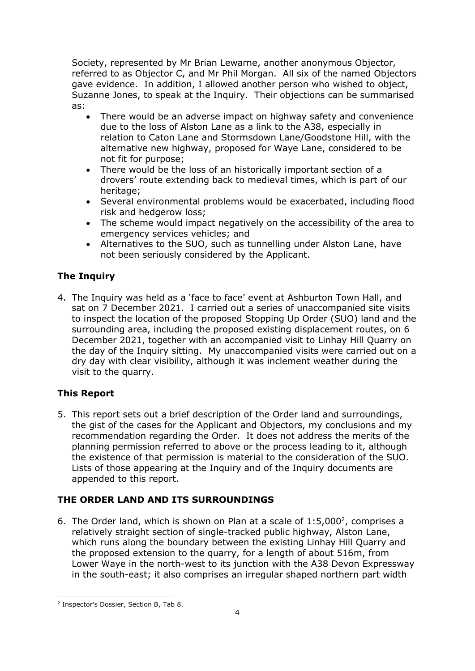Society, represented by Mr Brian Lewarne, another anonymous Objector, referred to as Objector C, and Mr Phil Morgan. All six of the named Objectors gave evidence. In addition, I allowed another person who wished to object, Suzanne Jones, to speak at the Inquiry. Their objections can be summarised as:

- There would be an adverse impact on highway safety and convenience due to the loss of Alston Lane as a link to the A38, especially in relation to Caton Lane and Stormsdown Lane/Goodstone Hill, with the alternative new highway, proposed for Waye Lane, considered to be not fit for purpose;
- There would be the loss of an historically important section of a drovers' route extending back to medieval times, which is part of our heritage:
- Several environmental problems would be exacerbated, including flood risk and hedgerow loss;
- The scheme would impact negatively on the accessibility of the area to emergency services vehicles; and
- Alternatives to the SUO, such as tunnelling under Alston Lane, have not been seriously considered by the Applicant.

# **The Inquiry**

4. The Inquiry was held as a 'face to face' event at Ashburton Town Hall, and sat on 7 December 2021. I carried out a series of unaccompanied site visits to inspect the location of the proposed Stopping Up Order (SUO) land and the surrounding area, including the proposed existing displacement routes, on 6 December 2021, together with an accompanied visit to Linhay Hill Quarry on the day of the Inquiry sitting. My unaccompanied visits were carried out on a dry day with clear visibility, although it was inclement weather during the visit to the quarry.

# **This Report**

5. This report sets out a brief description of the Order land and surroundings, the gist of the cases for the Applicant and Objectors, my conclusions and my recommendation regarding the Order. It does not address the merits of the planning permission referred to above or the process leading to it, although the existence of that permission is material to the consideration of the SUO. Lists of those appearing at the Inquiry and of the Inquiry documents are appended to this report.

# **THE ORDER LAND AND ITS SURROUNDINGS**

6. The Order land, which is shown on Plan at a scale of  $1:5,000^2$ , comprises a relatively straight section of single-tracked public highway, Alston Lane, which runs along the boundary between the existing Linhay Hill Quarry and the proposed extension to the quarry, for a length of about 516m, from Lower Waye in the north-west to its junction with the A38 Devon Expressway in the south-east; it also comprises an irregular shaped northern part width

<sup>2</sup> Inspector's Dossier, Section B, Tab 8.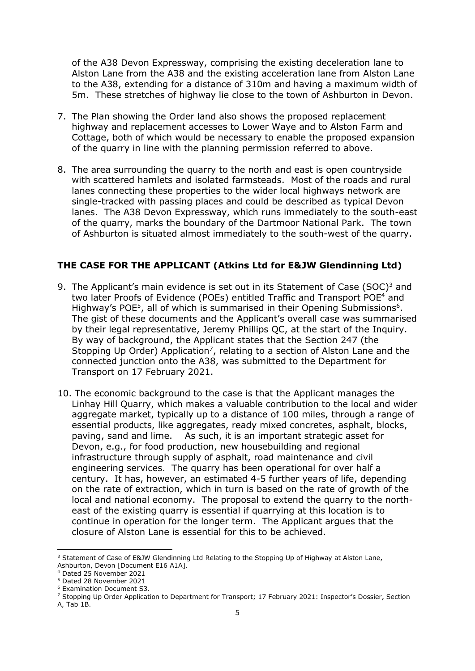of the A38 Devon Expressway, comprising the existing deceleration lane to Alston Lane from the A38 and the existing acceleration lane from Alston Lane to the A38, extending for a distance of 310m and having a maximum width of 5m. These stretches of highway lie close to the town of Ashburton in Devon.

- 7. The Plan showing the Order land also shows the proposed replacement highway and replacement accesses to Lower Waye and to Alston Farm and Cottage, both of which would be necessary to enable the proposed expansion of the quarry in line with the planning permission referred to above.
- 8. The area surrounding the quarry to the north and east is open countryside with scattered hamlets and isolated farmsteads. Most of the roads and rural lanes connecting these properties to the wider local highways network are single-tracked with passing places and could be described as typical Devon lanes. The A38 Devon Expressway, which runs immediately to the south-east of the quarry, marks the boundary of the Dartmoor National Park. The town of Ashburton is situated almost immediately to the south-west of the quarry.

#### **THE CASE FOR THE APPLICANT (Atkins Ltd for E&JW Glendinning Ltd)**

- 9. The Applicant's main evidence is set out in its Statement of Case (SOC)<sup>3</sup> and two later Proofs of Evidence (POEs) entitled Traffic and Transport POE<sup>4</sup> and Highway's POE<sup>5</sup>, all of which is summarised in their Opening Submissions<sup>6</sup>. The gist of these documents and the Applicant's overall case was summarised by their legal representative, Jeremy Phillips QC, at the start of the Inquiry. By way of background, the Applicant states that the Section 247 (the Stopping Up Order) Application<sup>7</sup>, relating to a section of Alston Lane and the connected junction onto the A38, was submitted to the Department for Transport on 17 February 2021.
- 10. The economic background to the case is that the Applicant manages the Linhay Hill Quarry, which makes a valuable contribution to the local and wider aggregate market, typically up to a distance of 100 miles, through a range of essential products, like aggregates, ready mixed concretes, asphalt, blocks, paving, sand and lime. As such, it is an important strategic asset for Devon, e.g., for food production, new housebuilding and regional infrastructure through supply of asphalt, road maintenance and civil engineering services. The quarry has been operational for over half a century. It has, however, an estimated 4-5 further years of life, depending on the rate of extraction, which in turn is based on the rate of growth of the local and national economy. The proposal to extend the quarry to the northeast of the existing quarry is essential if quarrying at this location is to continue in operation for the longer term. The Applicant argues that the closure of Alston Lane is essential for this to be achieved.

<sup>&</sup>lt;sup>3</sup> Statement of Case of E&JW Glendinning Ltd Relating to the Stopping Up of Highway at Alston Lane, Ashburton, Devon [Document E16 A1A].

<sup>4</sup> Dated 25 November 2021

<sup>5</sup> Dated 28 November 2021

<sup>6</sup> Examination Document S3.

<sup>&</sup>lt;sup>7</sup> Stopping Up Order Application to Department for Transport; 17 February 2021: Inspector's Dossier, Section A, Tab 1B.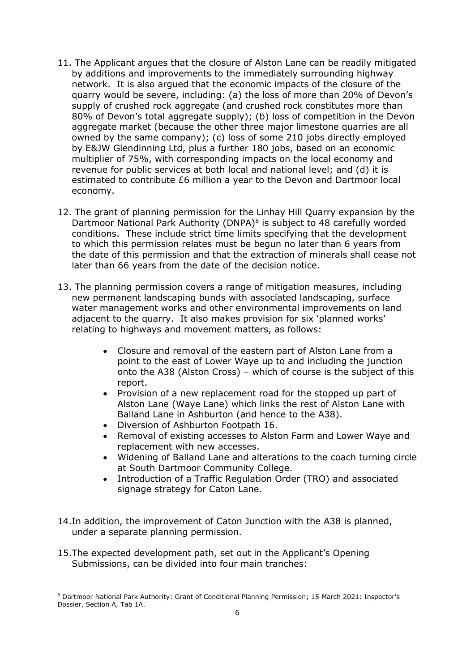- 11. The Applicant argues that the closure of Alston Lane can be readily mitigated by additions and improvements to the immediately surrounding highway network. It is also argued that the economic impacts of the closure of the quarry would be severe, including: (a) the loss of more than 20% of Devon's supply of crushed rock aggregate (and crushed rock constitutes more than 80% of Devon's total aggregate supply); (b) loss of competition in the Devon aggregate market (because the other three major limestone quarries are all owned by the same company); (c) loss of some 210 jobs directly employed by E&JW Glendinning Ltd, plus a further 180 jobs, based on an economic multiplier of 75%, with corresponding impacts on the local economy and revenue for public services at both local and national level; and (d) it is estimated to contribute £6 million a year to the Devon and Dartmoor local economy.
- 12. The grant of planning permission for the Linhay Hill Quarry expansion by the Dartmoor National Park Authority (DNPA)<sup>8</sup> is subject to 48 carefully worded conditions. These include strict time limits specifying that the development to which this permission relates must be begun no later than 6 years from the date of this permission and that the extraction of minerals shall cease not later than 66 years from the date of the decision notice.
- 13. The planning permission covers a range of mitigation measures, including new permanent landscaping bunds with associated landscaping, surface water management works and other environmental improvements on land adjacent to the quarry. It also makes provision for six 'planned works' relating to highways and movement matters, as follows:
	- Closure and removal of the eastern part of Alston Lane from a point to the east of Lower Waye up to and including the junction onto the A38 (Alston Cross) – which of course is the subject of this report.
	- Provision of a new replacement road for the stopped up part of Alston Lane (Waye Lane) which links the rest of Alston Lane with Balland Lane in Ashburton (and hence to the A38).
	- Diversion of Ashburton Footpath 16.
	- Removal of existing accesses to Alston Farm and Lower Waye and replacement with new accesses.
	- Widening of Balland Lane and alterations to the coach turning circle at South Dartmoor Community College.
	- Introduction of a Traffic Regulation Order (TRO) and associated signage strategy for Caton Lane.
- 14.In addition, the improvement of Caton Junction with the A38 is planned, under a separate planning permission.
- 15.The expected development path, set out in the Applicant's Opening Submissions, can be divided into four main tranches:

<sup>8</sup> Dartmoor National Park Authority: Grant of Conditional Planning Permission; 15 March 2021: Inspector's Dossier, Section A, Tab 1A.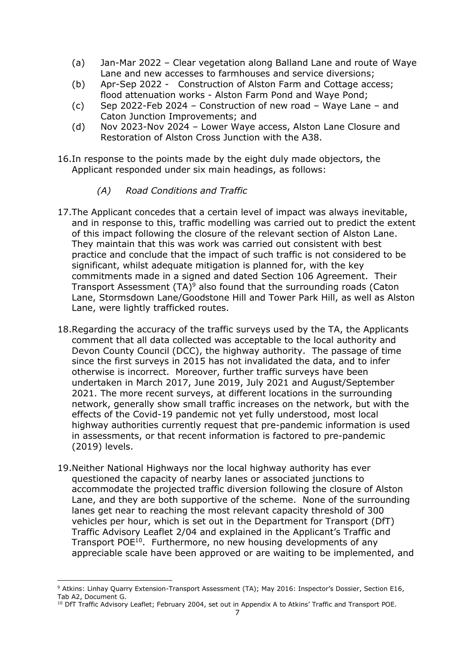- (a) Jan-Mar 2022 Clear vegetation along Balland Lane and route of Waye Lane and new accesses to farmhouses and service diversions;
- (b) Apr-Sep 2022 Construction of Alston Farm and Cottage access; flood attenuation works - Alston Farm Pond and Waye Pond;
- (c) Sep 2022-Feb 2024 Construction of new road Waye Lane and Caton Junction Improvements; and
- (d) Nov 2023-Nov 2024 Lower Waye access, Alston Lane Closure and Restoration of Alston Cross Junction with the A38.
- 16.In response to the points made by the eight duly made objectors, the Applicant responded under six main headings, as follows:
	- *(A) Road Conditions and Traffic*
- 17.The Applicant concedes that a certain level of impact was always inevitable, and in response to this, traffic modelling was carried out to predict the extent of this impact following the closure of the relevant section of Alston Lane. They maintain that this was work was carried out consistent with best practice and conclude that the impact of such traffic is not considered to be significant, whilst adequate mitigation is planned for, with the key commitments made in a signed and dated Section 106 Agreement. Their Transport Assessment  $(TA)^9$  also found that the surrounding roads (Caton Lane, Stormsdown Lane/Goodstone Hill and Tower Park Hill, as well as Alston Lane, were lightly trafficked routes.
- 18.Regarding the accuracy of the traffic surveys used by the TA, the Applicants comment that all data collected was acceptable to the local authority and Devon County Council (DCC), the highway authority. The passage of time since the first surveys in 2015 has not invalidated the data, and to infer otherwise is incorrect. Moreover, further traffic surveys have been undertaken in March 2017, June 2019, July 2021 and August/September 2021. The more recent surveys, at different locations in the surrounding network, generally show small traffic increases on the network, but with the effects of the Covid-19 pandemic not yet fully understood, most local highway authorities currently request that pre-pandemic information is used in assessments, or that recent information is factored to pre-pandemic (2019) levels.
- 19.Neither National Highways nor the local highway authority has ever questioned the capacity of nearby lanes or associated junctions to accommodate the projected traffic diversion following the closure of Alston Lane, and they are both supportive of the scheme. None of the surrounding lanes get near to reaching the most relevant capacity threshold of 300 vehicles per hour, which is set out in the Department for Transport (DfT) Traffic Advisory Leaflet 2/04 and explained in the Applicant's Traffic and Transport POE<sup>10</sup>. Furthermore, no new housing developments of any appreciable scale have been approved or are waiting to be implemented, and

<sup>9</sup> Atkins: Linhay Quarry Extension-Transport Assessment (TA); May 2016: Inspector's Dossier, Section E16, Tab A2, Document G.

<sup>&</sup>lt;sup>10</sup> DfT Traffic Advisory Leaflet; February 2004, set out in Appendix A to Atkins' Traffic and Transport POE.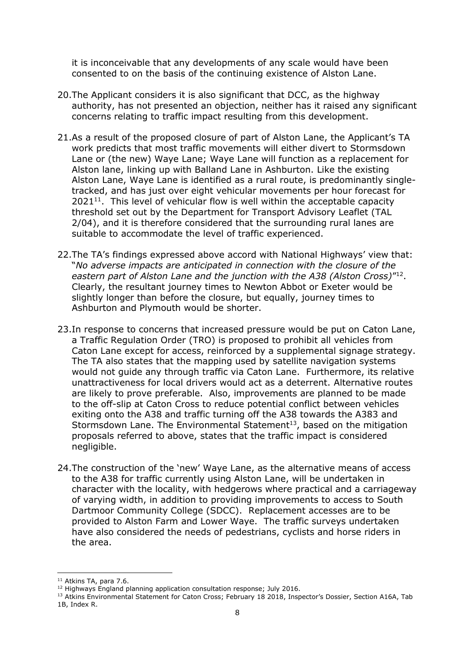it is inconceivable that any developments of any scale would have been consented to on the basis of the continuing existence of Alston Lane.

- 20.The Applicant considers it is also significant that DCC, as the highway authority, has not presented an objection, neither has it raised any significant concerns relating to traffic impact resulting from this development.
- 21.As a result of the proposed closure of part of Alston Lane, the Applicant's TA work predicts that most traffic movements will either divert to Stormsdown Lane or (the new) Waye Lane; Waye Lane will function as a replacement for Alston lane, linking up with Balland Lane in Ashburton. Like the existing Alston Lane, Waye Lane is identified as a rural route, is predominantly singletracked, and has just over eight vehicular movements per hour forecast for  $2021<sup>11</sup>$ . This level of vehicular flow is well within the acceptable capacity threshold set out by the Department for Transport Advisory Leaflet (TAL 2/04), and it is therefore considered that the surrounding rural lanes are suitable to accommodate the level of traffic experienced.
- 22.The TA's findings expressed above accord with National Highways' view that: "*No adverse impacts are anticipated in connection with the closure of the eastern part of Alston Lane and the junction with the A38 (Alston Cross)*" 12 . Clearly, the resultant journey times to Newton Abbot or Exeter would be slightly longer than before the closure, but equally, journey times to Ashburton and Plymouth would be shorter.
- 23.In response to concerns that increased pressure would be put on Caton Lane, a Traffic Regulation Order (TRO) is proposed to prohibit all vehicles from Caton Lane except for access, reinforced by a supplemental signage strategy. The TA also states that the mapping used by satellite navigation systems would not guide any through traffic via Caton Lane. Furthermore, its relative unattractiveness for local drivers would act as a deterrent. Alternative routes are likely to prove preferable. Also, improvements are planned to be made to the off-slip at Caton Cross to reduce potential conflict between vehicles exiting onto the A38 and traffic turning off the A38 towards the A383 and Stormsdown Lane. The Environmental Statement<sup>13</sup>, based on the mitigation proposals referred to above, states that the traffic impact is considered negligible.
- 24.The construction of the 'new' Waye Lane, as the alternative means of access to the A38 for traffic currently using Alston Lane, will be undertaken in character with the locality, with hedgerows where practical and a carriageway of varying width, in addition to providing improvements to access to South Dartmoor Community College (SDCC). Replacement accesses are to be provided to Alston Farm and Lower Waye. The traffic surveys undertaken have also considered the needs of pedestrians, cyclists and horse riders in the area.

<sup>&</sup>lt;sup>11</sup> Atkins TA, para 7.6.

<sup>&</sup>lt;sup>12</sup> Highways England planning application consultation response; July 2016.

<sup>13</sup> Atkins Environmental Statement for Caton Cross; February 18 2018, Inspector's Dossier, Section A16A, Tab 1B, Index R.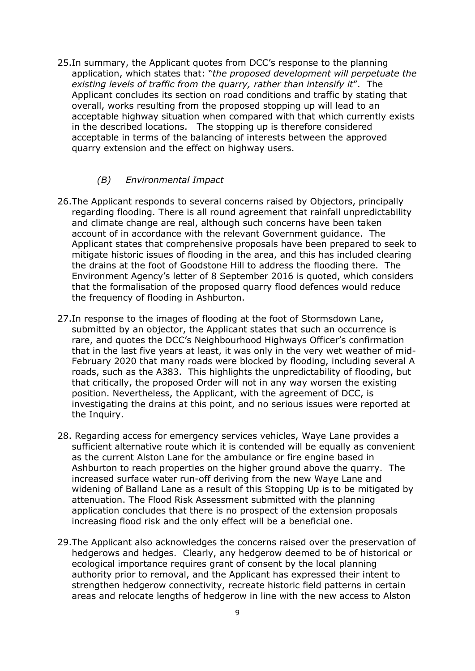25.In summary, the Applicant quotes from DCC's response to the planning application, which states that: "*the proposed development will perpetuate the existing levels of traffic from the quarry, rather than intensify it*". The Applicant concludes its section on road conditions and traffic by stating that overall, works resulting from the proposed stopping up will lead to an acceptable highway situation when compared with that which currently exists in the described locations. The stopping up is therefore considered acceptable in terms of the balancing of interests between the approved quarry extension and the effect on highway users.

#### *(B) Environmental Impact*

- 26.The Applicant responds to several concerns raised by Objectors, principally regarding flooding. There is all round agreement that rainfall unpredictability and climate change are real, although such concerns have been taken account of in accordance with the relevant Government guidance. The Applicant states that comprehensive proposals have been prepared to seek to mitigate historic issues of flooding in the area, and this has included clearing the drains at the foot of Goodstone Hill to address the flooding there. The Environment Agency's letter of 8 September 2016 is quoted, which considers that the formalisation of the proposed quarry flood defences would reduce the frequency of flooding in Ashburton.
- 27.In response to the images of flooding at the foot of Stormsdown Lane, submitted by an objector, the Applicant states that such an occurrence is rare, and quotes the DCC's Neighbourhood Highways Officer's confirmation that in the last five years at least, it was only in the very wet weather of mid-February 2020 that many roads were blocked by flooding, including several A roads, such as the A383. This highlights the unpredictability of flooding, but that critically, the proposed Order will not in any way worsen the existing position. Nevertheless, the Applicant, with the agreement of DCC, is investigating the drains at this point, and no serious issues were reported at the Inquiry.
- 28. Regarding access for emergency services vehicles, Waye Lane provides a sufficient alternative route which it is contended will be equally as convenient as the current Alston Lane for the ambulance or fire engine based in Ashburton to reach properties on the higher ground above the quarry. The increased surface water run-off deriving from the new Waye Lane and widening of Balland Lane as a result of this Stopping Up is to be mitigated by attenuation. The Flood Risk Assessment submitted with the planning application concludes that there is no prospect of the extension proposals increasing flood risk and the only effect will be a beneficial one.
- 29.The Applicant also acknowledges the concerns raised over the preservation of hedgerows and hedges. Clearly, any hedgerow deemed to be of historical or ecological importance requires grant of consent by the local planning authority prior to removal, and the Applicant has expressed their intent to strengthen hedgerow connectivity, recreate historic field patterns in certain areas and relocate lengths of hedgerow in line with the new access to Alston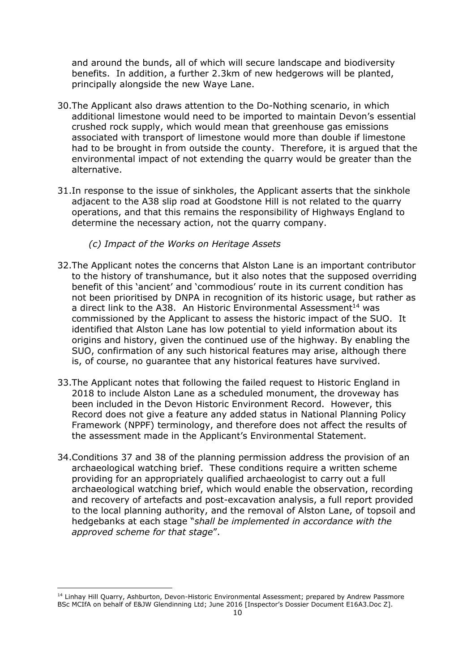and around the bunds, all of which will secure landscape and biodiversity benefits. In addition, a further 2.3km of new hedgerows will be planted, principally alongside the new Waye Lane.

- 30.The Applicant also draws attention to the Do-Nothing scenario, in which additional limestone would need to be imported to maintain Devon's essential crushed rock supply, which would mean that greenhouse gas emissions associated with transport of limestone would more than double if limestone had to be brought in from outside the county. Therefore, it is argued that the environmental impact of not extending the quarry would be greater than the alternative.
- 31.In response to the issue of sinkholes, the Applicant asserts that the sinkhole adjacent to the A38 slip road at Goodstone Hill is not related to the quarry operations, and that this remains the responsibility of Highways England to determine the necessary action, not the quarry company.

#### *(c) Impact of the Works on Heritage Assets*

- 32.The Applicant notes the concerns that Alston Lane is an important contributor to the history of transhumance, but it also notes that the supposed overriding benefit of this 'ancient' and 'commodious' route in its current condition has not been prioritised by DNPA in recognition of its historic usage, but rather as a direct link to the A38. An Historic Environmental Assessment<sup>14</sup> was commissioned by the Applicant to assess the historic impact of the SUO. It identified that Alston Lane has low potential to yield information about its origins and history, given the continued use of the highway. By enabling the SUO, confirmation of any such historical features may arise, although there is, of course, no guarantee that any historical features have survived.
- 33.The Applicant notes that following the failed request to Historic England in 2018 to include Alston Lane as a scheduled monument, the droveway has been included in the Devon Historic Environment Record. However, this Record does not give a feature any added status in National Planning Policy Framework (NPPF) terminology, and therefore does not affect the results of the assessment made in the Applicant's Environmental Statement.
- 34.Conditions 37 and 38 of the planning permission address the provision of an archaeological watching brief. These conditions require a written scheme providing for an appropriately qualified archaeologist to carry out a full archaeological watching brief, which would enable the observation, recording and recovery of artefacts and post-excavation analysis, a full report provided to the local planning authority, and the removal of Alston Lane, of topsoil and hedgebanks at each stage "*shall be implemented in accordance with the approved scheme for that stage*".

<sup>&</sup>lt;sup>14</sup> Linhay Hill Quarry, Ashburton, Devon-Historic Environmental Assessment; prepared by Andrew Passmore BSc MCIfA on behalf of E&JW Glendinning Ltd; June 2016 [Inspector's Dossier Document E16A3.Doc Z].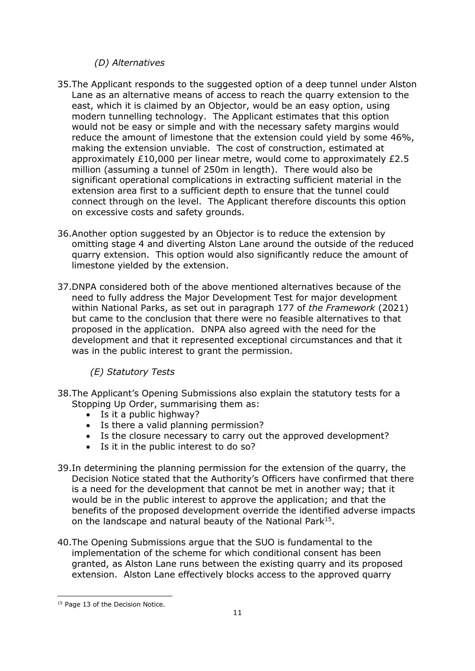## *(D) Alternatives*

- 35.The Applicant responds to the suggested option of a deep tunnel under Alston Lane as an alternative means of access to reach the quarry extension to the east, which it is claimed by an Objector, would be an easy option, using modern tunnelling technology. The Applicant estimates that this option would not be easy or simple and with the necessary safety margins would reduce the amount of limestone that the extension could yield by some 46%, making the extension unviable. The cost of construction, estimated at approximately £10,000 per linear metre, would come to approximately £2.5 million (assuming a tunnel of 250m in length). There would also be significant operational complications in extracting sufficient material in the extension area first to a sufficient depth to ensure that the tunnel could connect through on the level. The Applicant therefore discounts this option on excessive costs and safety grounds.
- 36.Another option suggested by an Objector is to reduce the extension by omitting stage 4 and diverting Alston Lane around the outside of the reduced quarry extension. This option would also significantly reduce the amount of limestone yielded by the extension.
- 37.DNPA considered both of the above mentioned alternatives because of the need to fully address the Major Development Test for major development within National Parks, as set out in paragraph 177 of *the Framework* (2021) but came to the conclusion that there were no feasible alternatives to that proposed in the application. DNPA also agreed with the need for the development and that it represented exceptional circumstances and that it was in the public interest to grant the permission.

 *(E) Statutory Tests*

- 38.The Applicant's Opening Submissions also explain the statutory tests for a Stopping Up Order, summarising them as:
	- Is it a public highway?
	- Is there a valid planning permission?
	- Is the closure necessary to carry out the approved development?
	- Is it in the public interest to do so?
- 39.In determining the planning permission for the extension of the quarry, the Decision Notice stated that the Authority's Officers have confirmed that there is a need for the development that cannot be met in another way; that it would be in the public interest to approve the application; and that the benefits of the proposed development override the identified adverse impacts on the landscape and natural beauty of the National Park<sup>15</sup>.
- 40.The Opening Submissions argue that the SUO is fundamental to the implementation of the scheme for which conditional consent has been granted, as Alston Lane runs between the existing quarry and its proposed extension. Alston Lane effectively blocks access to the approved quarry

<sup>&</sup>lt;sup>15</sup> Page 13 of the Decision Notice.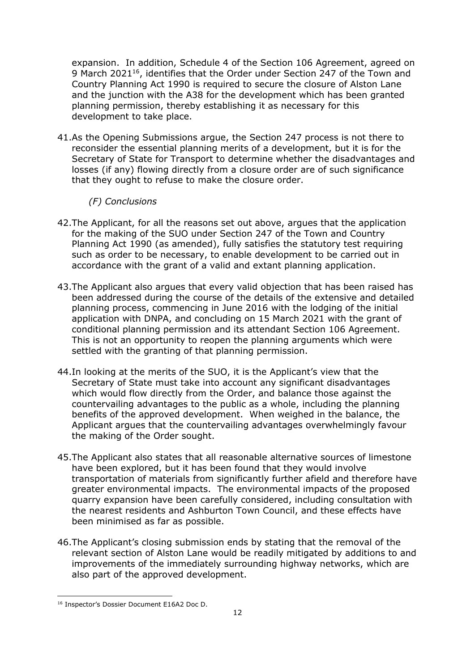expansion. In addition, Schedule 4 of the Section 106 Agreement, agreed on 9 March 2021<sup>16</sup>, identifies that the Order under Section 247 of the Town and Country Planning Act 1990 is required to secure the closure of Alston Lane and the junction with the A38 for the development which has been granted planning permission, thereby establishing it as necessary for this development to take place.

41.As the Opening Submissions argue, the Section 247 process is not there to reconsider the essential planning merits of a development, but it is for the Secretary of State for Transport to determine whether the disadvantages and losses (if any) flowing directly from a closure order are of such significance that they ought to refuse to make the closure order.

## *(F) Conclusions*

- 42.The Applicant, for all the reasons set out above, argues that the application for the making of the SUO under Section 247 of the Town and Country Planning Act 1990 (as amended), fully satisfies the statutory test requiring such as order to be necessary, to enable development to be carried out in accordance with the grant of a valid and extant planning application.
- 43.The Applicant also argues that every valid objection that has been raised has been addressed during the course of the details of the extensive and detailed planning process, commencing in June 2016 with the lodging of the initial application with DNPA, and concluding on 15 March 2021 with the grant of conditional planning permission and its attendant Section 106 Agreement. This is not an opportunity to reopen the planning arguments which were settled with the granting of that planning permission.
- 44.In looking at the merits of the SUO, it is the Applicant's view that the Secretary of State must take into account any significant disadvantages which would flow directly from the Order, and balance those against the countervailing advantages to the public as a whole, including the planning benefits of the approved development. When weighed in the balance, the Applicant argues that the countervailing advantages overwhelmingly favour the making of the Order sought.
- 45.The Applicant also states that all reasonable alternative sources of limestone have been explored, but it has been found that they would involve transportation of materials from significantly further afield and therefore have greater environmental impacts. The environmental impacts of the proposed quarry expansion have been carefully considered, including consultation with the nearest residents and Ashburton Town Council, and these effects have been minimised as far as possible.
- 46.The Applicant's closing submission ends by stating that the removal of the relevant section of Alston Lane would be readily mitigated by additions to and improvements of the immediately surrounding highway networks, which are also part of the approved development.

<sup>&</sup>lt;sup>16</sup> Inspector's Dossier Document E16A2 Doc D.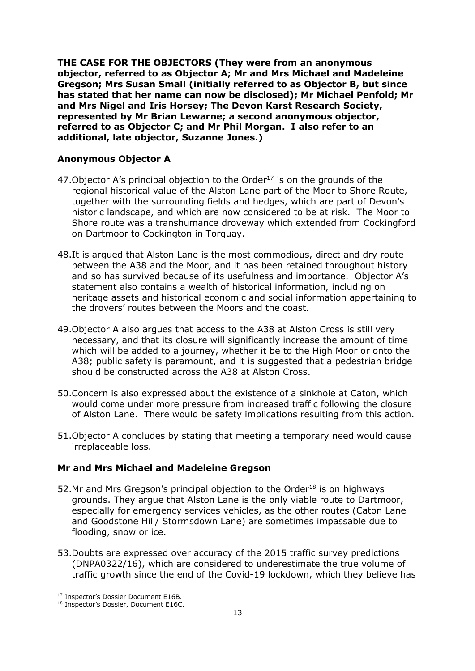**THE CASE FOR THE OBJECTORS (They were from an anonymous objector, referred to as Objector A; Mr and Mrs Michael and Madeleine Gregson; Mrs Susan Small (initially referred to as Objector B, but since has stated that her name can now be disclosed); Mr Michael Penfold; Mr and Mrs Nigel and Iris Horsey; The Devon Karst Research Society, represented by Mr Brian Lewarne; a second anonymous objector, referred to as Objector C; and Mr Phil Morgan. I also refer to an additional, late objector, Suzanne Jones.)**

#### **Anonymous Objector A**

- 47. Objector A's principal objection to the Order $17$  is on the grounds of the regional historical value of the Alston Lane part of the Moor to Shore Route, together with the surrounding fields and hedges, which are part of Devon's historic landscape, and which are now considered to be at risk. The Moor to Shore route was a transhumance droveway which extended from Cockingford on Dartmoor to Cockington in Torquay.
- 48.It is argued that Alston Lane is the most commodious, direct and dry route between the A38 and the Moor, and it has been retained throughout history and so has survived because of its usefulness and importance. Objector A's statement also contains a wealth of historical information, including on heritage assets and historical economic and social information appertaining to the drovers' routes between the Moors and the coast.
- 49.Objector A also argues that access to the A38 at Alston Cross is still very necessary, and that its closure will significantly increase the amount of time which will be added to a journey, whether it be to the High Moor or onto the A38; public safety is paramount, and it is suggested that a pedestrian bridge should be constructed across the A38 at Alston Cross.
- 50.Concern is also expressed about the existence of a sinkhole at Caton, which would come under more pressure from increased traffic following the closure of Alston Lane. There would be safety implications resulting from this action.
- 51.Objector A concludes by stating that meeting a temporary need would cause irreplaceable loss.

#### **Mr and Mrs Michael and Madeleine Gregson**

- 52.Mr and Mrs Gregson's principal objection to the Order<sup>18</sup> is on highways grounds. They argue that Alston Lane is the only viable route to Dartmoor, especially for emergency services vehicles, as the other routes (Caton Lane and Goodstone Hill/ Stormsdown Lane) are sometimes impassable due to flooding, snow or ice.
- 53.Doubts are expressed over accuracy of the 2015 traffic survey predictions (DNPA0322/16), which are considered to underestimate the true volume of traffic growth since the end of the Covid-19 lockdown, which they believe has

<sup>&</sup>lt;sup>17</sup> Inspector's Dossier Document E16B.

<sup>&</sup>lt;sup>18</sup> Inspector's Dossier, Document E16C.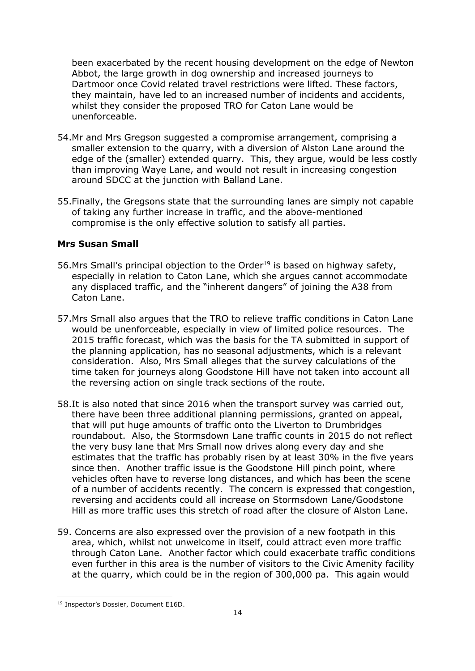been exacerbated by the recent housing development on the edge of Newton Abbot, the large growth in dog ownership and increased journeys to Dartmoor once Covid related travel restrictions were lifted. These factors, they maintain, have led to an increased number of incidents and accidents, whilst they consider the proposed TRO for Caton Lane would be unenforceable.

- 54.Mr and Mrs Gregson suggested a compromise arrangement, comprising a smaller extension to the quarry, with a diversion of Alston Lane around the edge of the (smaller) extended quarry. This, they argue, would be less costly than improving Waye Lane, and would not result in increasing congestion around SDCC at the junction with Balland Lane.
- 55.Finally, the Gregsons state that the surrounding lanes are simply not capable of taking any further increase in traffic, and the above-mentioned compromise is the only effective solution to satisfy all parties.

## **Mrs Susan Small**

- 56.Mrs Small's principal objection to the Order<sup>19</sup> is based on highway safety, especially in relation to Caton Lane, which she argues cannot accommodate any displaced traffic, and the "inherent dangers" of joining the A38 from Caton Lane.
- 57.Mrs Small also argues that the TRO to relieve traffic conditions in Caton Lane would be unenforceable, especially in view of limited police resources. The 2015 traffic forecast, which was the basis for the TA submitted in support of the planning application, has no seasonal adjustments, which is a relevant consideration. Also, Mrs Small alleges that the survey calculations of the time taken for journeys along Goodstone Hill have not taken into account all the reversing action on single track sections of the route.
- 58.It is also noted that since 2016 when the transport survey was carried out, there have been three additional planning permissions, granted on appeal, that will put huge amounts of traffic onto the Liverton to Drumbridges roundabout. Also, the Stormsdown Lane traffic counts in 2015 do not reflect the very busy lane that Mrs Small now drives along every day and she estimates that the traffic has probably risen by at least 30% in the five years since then. Another traffic issue is the Goodstone Hill pinch point, where vehicles often have to reverse long distances, and which has been the scene of a number of accidents recently. The concern is expressed that congestion, reversing and accidents could all increase on Stormsdown Lane/Goodstone Hill as more traffic uses this stretch of road after the closure of Alston Lane.
- 59. Concerns are also expressed over the provision of a new footpath in this area, which, whilst not unwelcome in itself, could attract even more traffic through Caton Lane. Another factor which could exacerbate traffic conditions even further in this area is the number of visitors to the Civic Amenity facility at the quarry, which could be in the region of 300,000 pa. This again would

<sup>&</sup>lt;sup>19</sup> Inspector's Dossier, Document E16D.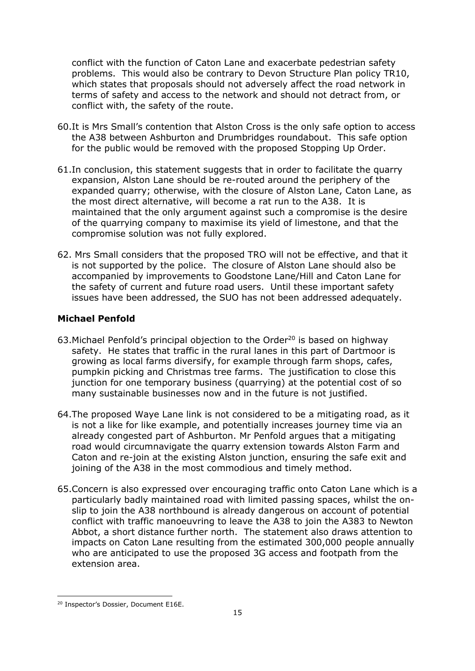conflict with the function of Caton Lane and exacerbate pedestrian safety problems. This would also be contrary to Devon Structure Plan policy TR10, which states that proposals should not adversely affect the road network in terms of safety and access to the network and should not detract from, or conflict with, the safety of the route.

- 60.It is Mrs Small's contention that Alston Cross is the only safe option to access the A38 between Ashburton and Drumbridges roundabout. This safe option for the public would be removed with the proposed Stopping Up Order.
- 61.In conclusion, this statement suggests that in order to facilitate the quarry expansion, Alston Lane should be re-routed around the periphery of the expanded quarry; otherwise, with the closure of Alston Lane, Caton Lane, as the most direct alternative, will become a rat run to the A38. It is maintained that the only argument against such a compromise is the desire of the quarrying company to maximise its yield of limestone, and that the compromise solution was not fully explored.
- 62. Mrs Small considers that the proposed TRO will not be effective, and that it is not supported by the police. The closure of Alston Lane should also be accompanied by improvements to Goodstone Lane/Hill and Caton Lane for the safety of current and future road users. Until these important safety issues have been addressed, the SUO has not been addressed adequately.

## **Michael Penfold**

- 63. Michael Penfold's principal objection to the Order<sup>20</sup> is based on highway safety. He states that traffic in the rural lanes in this part of Dartmoor is growing as local farms diversify, for example through farm shops, cafes, pumpkin picking and Christmas tree farms. The justification to close this junction for one temporary business (quarrying) at the potential cost of so many sustainable businesses now and in the future is not justified.
- 64.The proposed Waye Lane link is not considered to be a mitigating road, as it is not a like for like example, and potentially increases journey time via an already congested part of Ashburton. Mr Penfold argues that a mitigating road would circumnavigate the quarry extension towards Alston Farm and Caton and re-join at the existing Alston junction, ensuring the safe exit and joining of the A38 in the most commodious and timely method.
- 65.Concern is also expressed over encouraging traffic onto Caton Lane which is a particularly badly maintained road with limited passing spaces, whilst the onslip to join the A38 northbound is already dangerous on account of potential conflict with traffic manoeuvring to leave the A38 to join the A383 to Newton Abbot, a short distance further north. The statement also draws attention to impacts on Caton Lane resulting from the estimated 300,000 people annually who are anticipated to use the proposed 3G access and footpath from the extension area.

<sup>20</sup> Inspector's Dossier, Document E16E.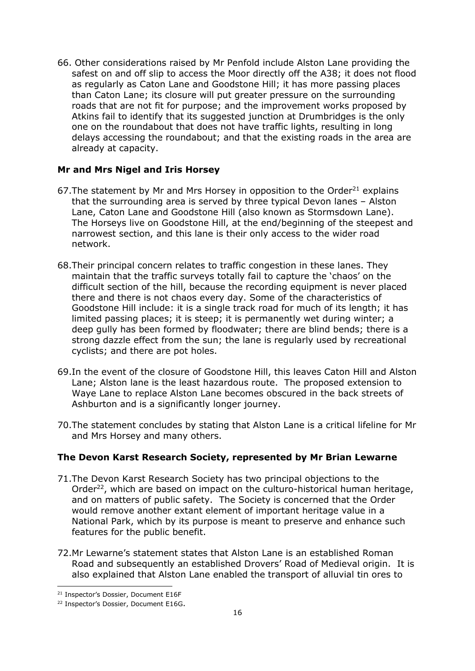66. Other considerations raised by Mr Penfold include Alston Lane providing the safest on and off slip to access the Moor directly off the A38; it does not flood as regularly as Caton Lane and Goodstone Hill; it has more passing places than Caton Lane; its closure will put greater pressure on the surrounding roads that are not fit for purpose; and the improvement works proposed by Atkins fail to identify that its suggested junction at Drumbridges is the only one on the roundabout that does not have traffic lights, resulting in long delays accessing the roundabout; and that the existing roads in the area are already at capacity.

#### **Mr and Mrs Nigel and Iris Horsey**

- 67. The statement by Mr and Mrs Horsey in opposition to the Order $^{21}$  explains that the surrounding area is served by three typical Devon lanes – Alston Lane, Caton Lane and Goodstone Hill (also known as Stormsdown Lane). The Horseys live on Goodstone Hill, at the end/beginning of the steepest and narrowest section, and this lane is their only access to the wider road network.
- 68.Their principal concern relates to traffic congestion in these lanes. They maintain that the traffic surveys totally fail to capture the 'chaos' on the difficult section of the hill, because the recording equipment is never placed there and there is not chaos every day. Some of the characteristics of Goodstone Hill include: it is a single track road for much of its length; it has limited passing places; it is steep; it is permanently wet during winter; a deep gully has been formed by floodwater; there are blind bends; there is a strong dazzle effect from the sun; the lane is regularly used by recreational cyclists; and there are pot holes.
- 69.In the event of the closure of Goodstone Hill, this leaves Caton Hill and Alston Lane; Alston lane is the least hazardous route. The proposed extension to Waye Lane to replace Alston Lane becomes obscured in the back streets of Ashburton and is a significantly longer journey.
- 70.The statement concludes by stating that Alston Lane is a critical lifeline for Mr and Mrs Horsey and many others.

#### **The Devon Karst Research Society, represented by Mr Brian Lewarne**

- 71.The Devon Karst Research Society has two principal objections to the Order<sup>22</sup>, which are based on impact on the culturo-historical human heritage, and on matters of public safety. The Society is concerned that the Order would remove another extant element of important heritage value in a National Park, which by its purpose is meant to preserve and enhance such features for the public benefit.
- 72.Mr Lewarne's statement states that Alston Lane is an established Roman Road and subsequently an established Drovers' Road of Medieval origin. It is also explained that Alston Lane enabled the transport of alluvial tin ores to

<sup>21</sup> Inspector's Dossier, Document E16F

<sup>&</sup>lt;sup>22</sup> Inspector's Dossier, Document E16G.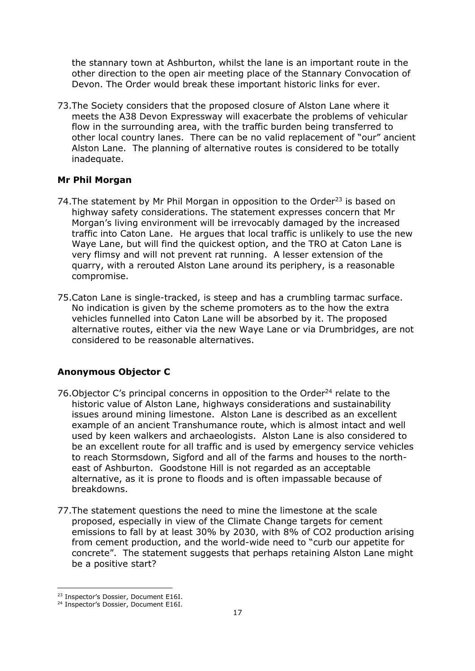the stannary town at Ashburton, whilst the lane is an important route in the other direction to the open air meeting place of the Stannary Convocation of Devon. The Order would break these important historic links for ever.

73.The Society considers that the proposed closure of Alston Lane where it meets the A38 Devon Expressway will exacerbate the problems of vehicular flow in the surrounding area, with the traffic burden being transferred to other local country lanes. There can be no valid replacement of "our" ancient Alston Lane. The planning of alternative routes is considered to be totally inadequate.

#### **Mr Phil Morgan**

- 74. The statement by Mr Phil Morgan in opposition to the Order<sup>23</sup> is based on highway safety considerations. The statement expresses concern that Mr Morgan's living environment will be irrevocably damaged by the increased traffic into Caton Lane. He argues that local traffic is unlikely to use the new Waye Lane, but will find the quickest option, and the TRO at Caton Lane is very flimsy and will not prevent rat running. A lesser extension of the quarry, with a rerouted Alston Lane around its periphery, is a reasonable compromise.
- 75.Caton Lane is single-tracked, is steep and has a crumbling tarmac surface. No indication is given by the scheme promoters as to the how the extra vehicles funnelled into Caton Lane will be absorbed by it. The proposed alternative routes, either via the new Waye Lane or via Drumbridges, are not considered to be reasonable alternatives.

#### **Anonymous Objector C**

- 76. Objector C's principal concerns in opposition to the Order<sup>24</sup> relate to the historic value of Alston Lane, highways considerations and sustainability issues around mining limestone. Alston Lane is described as an excellent example of an ancient Transhumance route, which is almost intact and well used by keen walkers and archaeologists. Alston Lane is also considered to be an excellent route for all traffic and is used by emergency service vehicles to reach Stormsdown, Sigford and all of the farms and houses to the northeast of Ashburton. Goodstone Hill is not regarded as an acceptable alternative, as it is prone to floods and is often impassable because of breakdowns.
- 77.The statement questions the need to mine the limestone at the scale proposed, especially in view of the Climate Change targets for cement emissions to fall by at least 30% by 2030, with 8% of CO2 production arising from cement production, and the world-wide need to "curb our appetite for concrete". The statement suggests that perhaps retaining Alston Lane might be a positive start?

<sup>&</sup>lt;sup>23</sup> Inspector's Dossier, Document E16I.

<sup>&</sup>lt;sup>24</sup> Inspector's Dossier, Document E16I.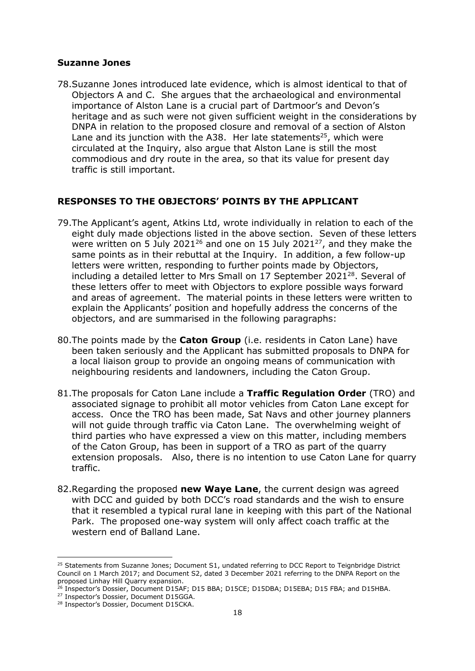#### **Suzanne Jones**

78.Suzanne Jones introduced late evidence, which is almost identical to that of Objectors A and C. She argues that the archaeological and environmental importance of Alston Lane is a crucial part of Dartmoor's and Devon's heritage and as such were not given sufficient weight in the considerations by DNPA in relation to the proposed closure and removal of a section of Alston Lane and its junction with the A38. Her late statements<sup>25</sup>, which were circulated at the Inquiry, also argue that Alston Lane is still the most commodious and dry route in the area, so that its value for present day traffic is still important.

#### **RESPONSES TO THE OBJECTORS' POINTS BY THE APPLICANT**

- 79.The Applicant's agent, Atkins Ltd, wrote individually in relation to each of the eight duly made objections listed in the above section. Seven of these letters were written on 5 July 2021<sup>26</sup> and one on 15 July 2021<sup>27</sup>, and they make the same points as in their rebuttal at the Inquiry. In addition, a few follow-up letters were written, responding to further points made by Objectors, including a detailed letter to Mrs Small on 17 September 2021 $^{28}$ . Several of these letters offer to meet with Objectors to explore possible ways forward and areas of agreement. The material points in these letters were written to explain the Applicants' position and hopefully address the concerns of the objectors, and are summarised in the following paragraphs:
- 80.The points made by the **Caton Group** (i.e. residents in Caton Lane) have been taken seriously and the Applicant has submitted proposals to DNPA for a local liaison group to provide an ongoing means of communication with neighbouring residents and landowners, including the Caton Group.
- 81.The proposals for Caton Lane include a **Traffic Regulation Order** (TRO) and associated signage to prohibit all motor vehicles from Caton Lane except for access. Once the TRO has been made, Sat Navs and other journey planners will not guide through traffic via Caton Lane. The overwhelming weight of third parties who have expressed a view on this matter, including members of the Caton Group, has been in support of a TRO as part of the quarry extension proposals. Also, there is no intention to use Caton Lane for quarry traffic.
- 82.Regarding the proposed **new Waye Lane**, the current design was agreed with DCC and guided by both DCC's road standards and the wish to ensure that it resembled a typical rural lane in keeping with this part of the National Park. The proposed one-way system will only affect coach traffic at the western end of Balland Lane.

<sup>&</sup>lt;sup>25</sup> Statements from Suzanne Jones; Document S1, undated referring to DCC Report to Teignbridge District Council on 1 March 2017; and Document S2, dated 3 December 2021 referring to the DNPA Report on the proposed Linhay Hill Quarry expansion.

<sup>&</sup>lt;sup>26</sup> Inspector's Dossier, Document D15AF; D15 BBA; D15CE; D15DBA; D15EBA; D15 FBA; and D15HBA.

<sup>&</sup>lt;sup>27</sup> Inspector's Dossier, Document D15GGA.

<sup>28</sup> Inspector's Dossier, Document D15CKA.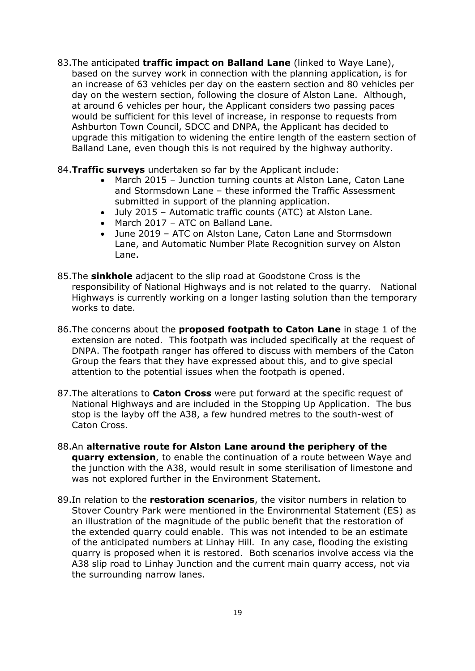- 83.The anticipated **traffic impact on Balland Lane** (linked to Waye Lane), based on the survey work in connection with the planning application, is for an increase of 63 vehicles per day on the eastern section and 80 vehicles per day on the western section, following the closure of Alston Lane. Although, at around 6 vehicles per hour, the Applicant considers two passing paces would be sufficient for this level of increase, in response to requests from Ashburton Town Council, SDCC and DNPA, the Applicant has decided to upgrade this mitigation to widening the entire length of the eastern section of Balland Lane, even though this is not required by the highway authority.
- 84.**Traffic surveys** undertaken so far by the Applicant include:
	- March 2015 Junction turning counts at Alston Lane, Caton Lane and Stormsdown Lane – these informed the Traffic Assessment submitted in support of the planning application.
	- July 2015 Automatic traffic counts (ATC) at Alston Lane.
	- March 2017 ATC on Balland Lane.
	- June 2019 ATC on Alston Lane, Caton Lane and Stormsdown Lane, and Automatic Number Plate Recognition survey on Alston Lane.
- 85.The **sinkhole** adjacent to the slip road at Goodstone Cross is the responsibility of National Highways and is not related to the quarry. National Highways is currently working on a longer lasting solution than the temporary works to date.
- 86.The concerns about the **proposed footpath to Caton Lane** in stage 1 of the extension are noted. This footpath was included specifically at the request of DNPA. The footpath ranger has offered to discuss with members of the Caton Group the fears that they have expressed about this, and to give special attention to the potential issues when the footpath is opened.
- 87.The alterations to **Caton Cross** were put forward at the specific request of National Highways and are included in the Stopping Up Application. The bus stop is the layby off the A38, a few hundred metres to the south-west of Caton Cross.
- 88.An **alternative route for Alston Lane around the periphery of the quarry extension**, to enable the continuation of a route between Waye and the junction with the A38, would result in some sterilisation of limestone and was not explored further in the Environment Statement.
- 89.In relation to the **restoration scenarios**, the visitor numbers in relation to Stover Country Park were mentioned in the Environmental Statement (ES) as an illustration of the magnitude of the public benefit that the restoration of the extended quarry could enable. This was not intended to be an estimate of the anticipated numbers at Linhay Hill. In any case, flooding the existing quarry is proposed when it is restored. Both scenarios involve access via the A38 slip road to Linhay Junction and the current main quarry access, not via the surrounding narrow lanes.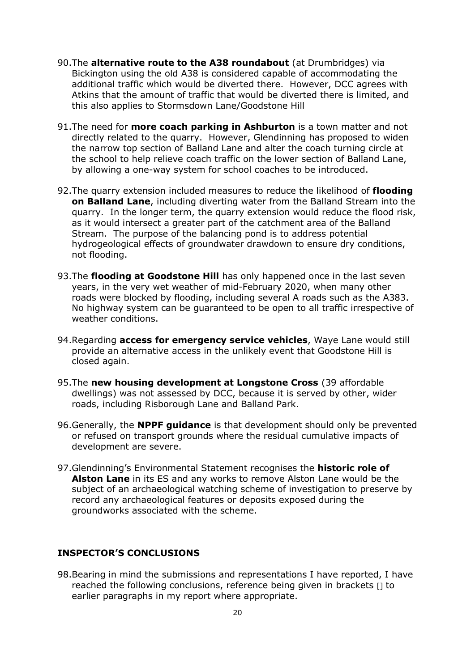- 90.The **alternative route to the A38 roundabout** (at Drumbridges) via Bickington using the old A38 is considered capable of accommodating the additional traffic which would be diverted there. However, DCC agrees with Atkins that the amount of traffic that would be diverted there is limited, and this also applies to Stormsdown Lane/Goodstone Hill
- 91.The need for **more coach parking in Ashburton** is a town matter and not directly related to the quarry. However, Glendinning has proposed to widen the narrow top section of Balland Lane and alter the coach turning circle at the school to help relieve coach traffic on the lower section of Balland Lane, by allowing a one-way system for school coaches to be introduced.
- 92.The quarry extension included measures to reduce the likelihood of **flooding on Balland Lane**, including diverting water from the Balland Stream into the quarry. In the longer term, the quarry extension would reduce the flood risk, as it would intersect a greater part of the catchment area of the Balland Stream. The purpose of the balancing pond is to address potential hydrogeological effects of groundwater drawdown to ensure dry conditions, not flooding.
- 93.The **flooding at Goodstone Hill** has only happened once in the last seven years, in the very wet weather of mid-February 2020, when many other roads were blocked by flooding, including several A roads such as the A383. No highway system can be guaranteed to be open to all traffic irrespective of weather conditions.
- 94.Regarding **access for emergency service vehicles**, Waye Lane would still provide an alternative access in the unlikely event that Goodstone Hill is closed again.
- 95.The **new housing development at Longstone Cross** (39 affordable dwellings) was not assessed by DCC, because it is served by other, wider roads, including Risborough Lane and Balland Park.
- 96.Generally, the **NPPF guidance** is that development should only be prevented or refused on transport grounds where the residual cumulative impacts of development are severe.
- 97.Glendinning's Environmental Statement recognises the **historic role of Alston Lane** in its ES and any works to remove Alston Lane would be the subject of an archaeological watching scheme of investigation to preserve by record any archaeological features or deposits exposed during the groundworks associated with the scheme.

## **INSPECTOR'S CONCLUSIONS**

98.Bearing in mind the submissions and representations I have reported, I have reached the following conclusions, reference being given in brackets [] to earlier paragraphs in my report where appropriate.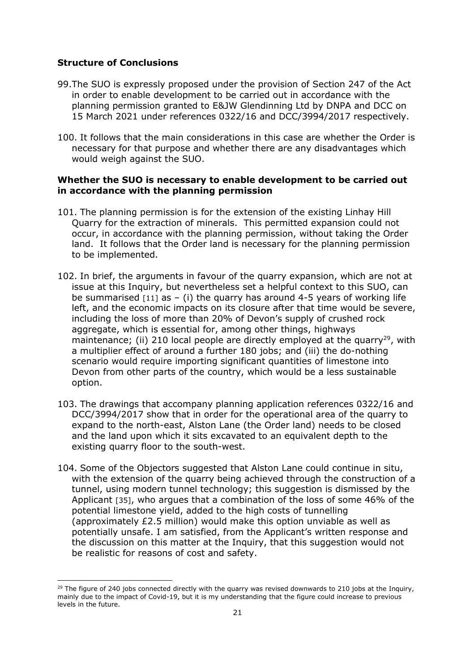### **Structure of Conclusions**

- 99.The SUO is expressly proposed under the provision of Section 247 of the Act in order to enable development to be carried out in accordance with the planning permission granted to E&JW Glendinning Ltd by DNPA and DCC on 15 March 2021 under references 0322/16 and DCC/3994/2017 respectively.
- 100. It follows that the main considerations in this case are whether the Order is necessary for that purpose and whether there are any disadvantages which would weigh against the SUO.

#### **Whether the SUO is necessary to enable development to be carried out in accordance with the planning permission**

- 101. The planning permission is for the extension of the existing Linhay Hill Quarry for the extraction of minerals. This permitted expansion could not occur, in accordance with the planning permission, without taking the Order land. It follows that the Order land is necessary for the planning permission to be implemented.
- 102. In brief, the arguments in favour of the quarry expansion, which are not at issue at this Inquiry, but nevertheless set a helpful context to this SUO, can be summarised  $[11]$  as  $-$  (i) the quarry has around 4-5 years of working life left, and the economic impacts on its closure after that time would be severe, including the loss of more than 20% of Devon's supply of crushed rock aggregate, which is essential for, among other things, highways maintenance; (ii) 210 local people are directly employed at the quarry<sup>29</sup>, with a multiplier effect of around a further 180 jobs; and (iii) the do-nothing scenario would require importing significant quantities of limestone into Devon from other parts of the country, which would be a less sustainable option.
- 103. The drawings that accompany planning application references 0322/16 and DCC/3994/2017 show that in order for the operational area of the quarry to expand to the north-east, Alston Lane (the Order land) needs to be closed and the land upon which it sits excavated to an equivalent depth to the existing quarry floor to the south-west.
- 104. Some of the Objectors suggested that Alston Lane could continue in situ, with the extension of the quarry being achieved through the construction of a tunnel, using modern tunnel technology; this suggestion is dismissed by the Applicant [35], who argues that a combination of the loss of some 46% of the potential limestone yield, added to the high costs of tunnelling (approximately £2.5 million) would make this option unviable as well as potentially unsafe. I am satisfied, from the Applicant's written response and the discussion on this matter at the Inquiry, that this suggestion would not be realistic for reasons of cost and safety.

 $29$  The figure of 240 jobs connected directly with the quarry was revised downwards to 210 jobs at the Inquiry, mainly due to the impact of Covid-19, but it is my understanding that the figure could increase to previous levels in the future.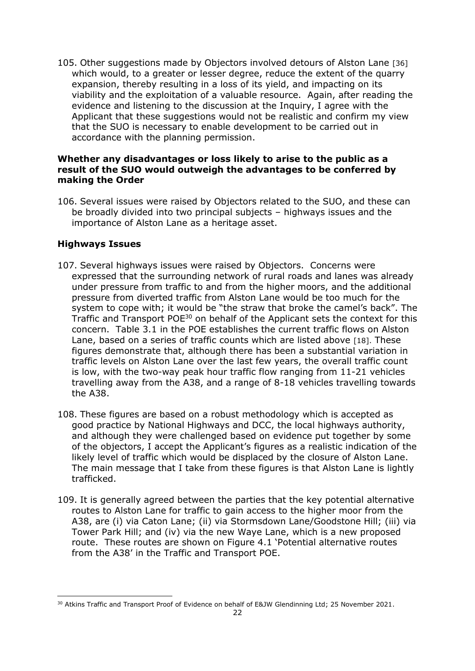105. Other suggestions made by Objectors involved detours of Alston Lane [36] which would, to a greater or lesser degree, reduce the extent of the quarry expansion, thereby resulting in a loss of its yield, and impacting on its viability and the exploitation of a valuable resource. Again, after reading the evidence and listening to the discussion at the Inquiry, I agree with the Applicant that these suggestions would not be realistic and confirm my view that the SUO is necessary to enable development to be carried out in accordance with the planning permission.

#### **Whether any disadvantages or loss likely to arise to the public as a result of the SUO would outweigh the advantages to be conferred by making the Order**

106. Several issues were raised by Objectors related to the SUO, and these can be broadly divided into two principal subjects – highways issues and the importance of Alston Lane as a heritage asset.

## **Highways Issues**

- 107. Several highways issues were raised by Objectors. Concerns were expressed that the surrounding network of rural roads and lanes was already under pressure from traffic to and from the higher moors, and the additional pressure from diverted traffic from Alston Lane would be too much for the system to cope with; it would be "the straw that broke the camel's back". The Traffic and Transport POE<sup>30</sup> on behalf of the Applicant sets the context for this concern. Table 3.1 in the POE establishes the current traffic flows on Alston Lane, based on a series of traffic counts which are listed above [18]. These figures demonstrate that, although there has been a substantial variation in traffic levels on Alston Lane over the last few years, the overall traffic count is low, with the two-way peak hour traffic flow ranging from 11-21 vehicles travelling away from the A38, and a range of 8-18 vehicles travelling towards the A38.
- 108. These figures are based on a robust methodology which is accepted as good practice by National Highways and DCC, the local highways authority, and although they were challenged based on evidence put together by some of the objectors, I accept the Applicant's figures as a realistic indication of the likely level of traffic which would be displaced by the closure of Alston Lane. The main message that I take from these figures is that Alston Lane is lightly trafficked.
- 109. It is generally agreed between the parties that the key potential alternative routes to Alston Lane for traffic to gain access to the higher moor from the A38, are (i) via Caton Lane; (ii) via Stormsdown Lane/Goodstone Hill; (iii) via Tower Park Hill; and (iv) via the new Waye Lane, which is a new proposed route. These routes are shown on Figure 4.1 'Potential alternative routes from the A38' in the Traffic and Transport POE.

<sup>&</sup>lt;sup>30</sup> Atkins Traffic and Transport Proof of Evidence on behalf of E&JW Glendinning Ltd; 25 November 2021.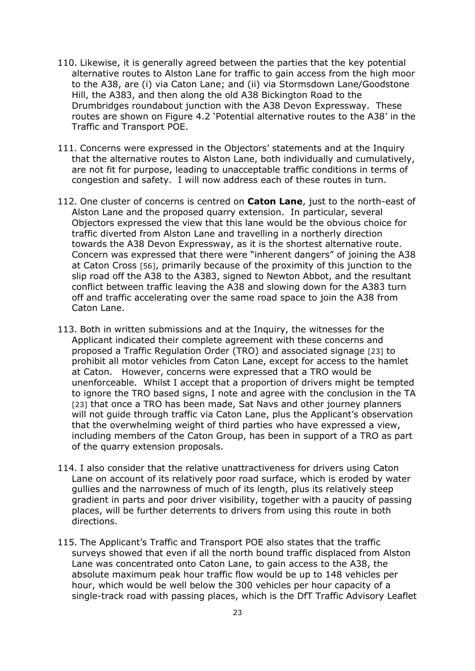- 110. Likewise, it is generally agreed between the parties that the key potential alternative routes to Alston Lane for traffic to gain access from the high moor to the A38, are (i) via Caton Lane; and (ii) via Stormsdown Lane/Goodstone Hill, the A383, and then along the old A38 Bickington Road to the Drumbridges roundabout junction with the A38 Devon Expressway. These routes are shown on Figure 4.2 'Potential alternative routes to the A38' in the Traffic and Transport POE.
- 111. Concerns were expressed in the Objectors' statements and at the Inquiry that the alternative routes to Alston Lane, both individually and cumulatively, are not fit for purpose, leading to unacceptable traffic conditions in terms of congestion and safety. I will now address each of these routes in turn.
- 112. One cluster of concerns is centred on **Caton Lane**, just to the north-east of Alston Lane and the proposed quarry extension. In particular, several Objectors expressed the view that this lane would be the obvious choice for traffic diverted from Alston Lane and travelling in a northerly direction towards the A38 Devon Expressway, as it is the shortest alternative route. Concern was expressed that there were "inherent dangers" of joining the A38 at Caton Cross [56], primarily because of the proximity of this junction to the slip road off the A38 to the A383, signed to Newton Abbot, and the resultant conflict between traffic leaving the A38 and slowing down for the A383 turn off and traffic accelerating over the same road space to join the A38 from Caton Lane.
- 113. Both in written submissions and at the Inquiry, the witnesses for the Applicant indicated their complete agreement with these concerns and proposed a Traffic Regulation Order (TRO) and associated signage [23] to prohibit all motor vehicles from Caton Lane, except for access to the hamlet at Caton. However, concerns were expressed that a TRO would be unenforceable. Whilst I accept that a proportion of drivers might be tempted to ignore the TRO based signs, I note and agree with the conclusion in the TA [23] that once a TRO has been made, Sat Navs and other journey planners will not quide through traffic via Caton Lane, plus the Applicant's observation that the overwhelming weight of third parties who have expressed a view, including members of the Caton Group, has been in support of a TRO as part of the quarry extension proposals.
- 114. I also consider that the relative unattractiveness for drivers using Caton Lane on account of its relatively poor road surface, which is eroded by water gullies and the narrowness of much of its length, plus its relatively steep gradient in parts and poor driver visibility, together with a paucity of passing places, will be further deterrents to drivers from using this route in both directions.
- 115. The Applicant's Traffic and Transport POE also states that the traffic surveys showed that even if all the north bound traffic displaced from Alston Lane was concentrated onto Caton Lane, to gain access to the A38, the absolute maximum peak hour traffic flow would be up to 148 vehicles per hour, which would be well below the 300 vehicles per hour capacity of a single-track road with passing places, which is the DfT Traffic Advisory Leaflet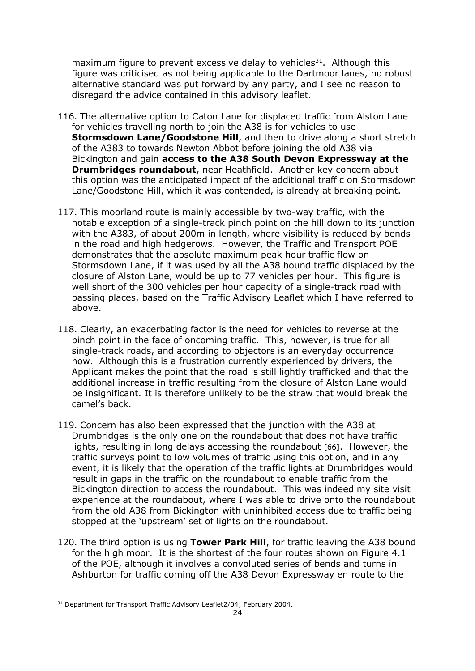maximum figure to prevent excessive delay to vehicles<sup>31</sup>. Although this figure was criticised as not being applicable to the Dartmoor lanes, no robust alternative standard was put forward by any party, and I see no reason to disregard the advice contained in this advisory leaflet.

- 116. The alternative option to Caton Lane for displaced traffic from Alston Lane for vehicles travelling north to join the A38 is for vehicles to use **Stormsdown Lane/Goodstone Hill**, and then to drive along a short stretch of the A383 to towards Newton Abbot before joining the old A38 via Bickington and gain **access to the A38 South Devon Expressway at the Drumbridges roundabout**, near Heathfield. Another key concern about this option was the anticipated impact of the additional traffic on Stormsdown Lane/Goodstone Hill, which it was contended, is already at breaking point.
- 117. This moorland route is mainly accessible by two-way traffic, with the notable exception of a single-track pinch point on the hill down to its junction with the A383, of about 200m in length, where visibility is reduced by bends in the road and high hedgerows. However, the Traffic and Transport POE demonstrates that the absolute maximum peak hour traffic flow on Stormsdown Lane, if it was used by all the A38 bound traffic displaced by the closure of Alston Lane, would be up to 77 vehicles per hour. This figure is well short of the 300 vehicles per hour capacity of a single-track road with passing places, based on the Traffic Advisory Leaflet which I have referred to above.
- 118. Clearly, an exacerbating factor is the need for vehicles to reverse at the pinch point in the face of oncoming traffic. This, however, is true for all single-track roads, and according to objectors is an everyday occurrence now. Although this is a frustration currently experienced by drivers, the Applicant makes the point that the road is still lightly trafficked and that the additional increase in traffic resulting from the closure of Alston Lane would be insignificant. It is therefore unlikely to be the straw that would break the camel's back.
- 119. Concern has also been expressed that the junction with the A38 at Drumbridges is the only one on the roundabout that does not have traffic lights, resulting in long delays accessing the roundabout [66]. However, the traffic surveys point to low volumes of traffic using this option, and in any event, it is likely that the operation of the traffic lights at Drumbridges would result in gaps in the traffic on the roundabout to enable traffic from the Bickington direction to access the roundabout. This was indeed my site visit experience at the roundabout, where I was able to drive onto the roundabout from the old A38 from Bickington with uninhibited access due to traffic being stopped at the 'upstream' set of lights on the roundabout.
- 120. The third option is using **Tower Park Hill**, for traffic leaving the A38 bound for the high moor. It is the shortest of the four routes shown on Figure 4.1 of the POE, although it involves a convoluted series of bends and turns in Ashburton for traffic coming off the A38 Devon Expressway en route to the

<sup>&</sup>lt;sup>31</sup> Department for Transport Traffic Advisory Leaflet2/04; February 2004.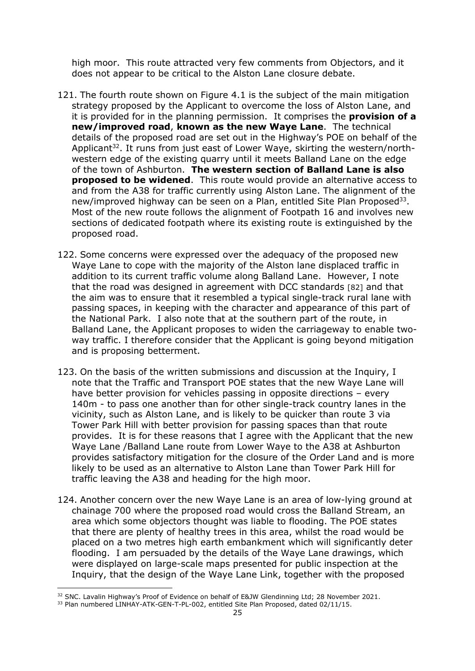high moor. This route attracted very few comments from Objectors, and it does not appear to be critical to the Alston Lane closure debate.

- 121. The fourth route shown on Figure 4.1 is the subject of the main mitigation strategy proposed by the Applicant to overcome the loss of Alston Lane, and it is provided for in the planning permission. It comprises the **provision of a new/improved road**, **known as the new Waye Lane**. The technical details of the proposed road are set out in the Highway's POE on behalf of the Applicant<sup>32</sup>. It runs from just east of Lower Waye, skirting the western/northwestern edge of the existing quarry until it meets Balland Lane on the edge of the town of Ashburton. **The western section of Balland Lane is also proposed to be widened**. This route would provide an alternative access to and from the A38 for traffic currently using Alston Lane. The alignment of the new/improved highway can be seen on a Plan, entitled Site Plan Proposed<sup>33</sup>. Most of the new route follows the alignment of Footpath 16 and involves new sections of dedicated footpath where its existing route is extinguished by the proposed road.
- 122. Some concerns were expressed over the adequacy of the proposed new Waye Lane to cope with the majority of the Alston lane displaced traffic in addition to its current traffic volume along Balland Lane. However, I note that the road was designed in agreement with DCC standards [82] and that the aim was to ensure that it resembled a typical single-track rural lane with passing spaces, in keeping with the character and appearance of this part of the National Park. I also note that at the southern part of the route, in Balland Lane, the Applicant proposes to widen the carriageway to enable twoway traffic. I therefore consider that the Applicant is going beyond mitigation and is proposing betterment.
- 123. On the basis of the written submissions and discussion at the Inquiry, I note that the Traffic and Transport POE states that the new Waye Lane will have better provision for vehicles passing in opposite directions – every 140m - to pass one another than for other single-track country lanes in the vicinity, such as Alston Lane, and is likely to be quicker than route 3 via Tower Park Hill with better provision for passing spaces than that route provides. It is for these reasons that I agree with the Applicant that the new Waye Lane /Balland Lane route from Lower Waye to the A38 at Ashburton provides satisfactory mitigation for the closure of the Order Land and is more likely to be used as an alternative to Alston Lane than Tower Park Hill for traffic leaving the A38 and heading for the high moor.
- 124. Another concern over the new Waye Lane is an area of low-lying ground at chainage 700 where the proposed road would cross the Balland Stream, an area which some objectors thought was liable to flooding. The POE states that there are plenty of healthy trees in this area, whilst the road would be placed on a two metres high earth embankment which will significantly deter flooding. I am persuaded by the details of the Waye Lane drawings, which were displayed on large-scale maps presented for public inspection at the Inquiry, that the design of the Waye Lane Link, together with the proposed

<sup>&</sup>lt;sup>32</sup> SNC. Lavalin Highway's Proof of Evidence on behalf of E&JW Glendinning Ltd; 28 November 2021.

<sup>&</sup>lt;sup>33</sup> Plan numbered LINHAY-ATK-GEN-T-PL-002, entitled Site Plan Proposed, dated 02/11/15.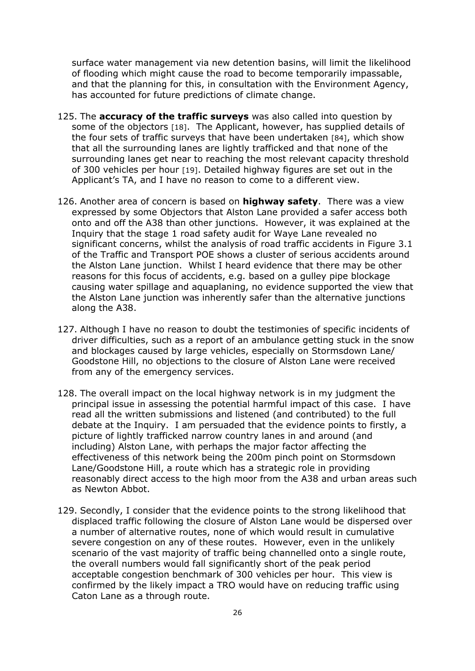surface water management via new detention basins, will limit the likelihood of flooding which might cause the road to become temporarily impassable, and that the planning for this, in consultation with the Environment Agency, has accounted for future predictions of climate change.

- 125. The **accuracy of the traffic surveys** was also called into question by some of the objectors [18]. The Applicant, however, has supplied details of the four sets of traffic surveys that have been undertaken [84], which show that all the surrounding lanes are lightly trafficked and that none of the surrounding lanes get near to reaching the most relevant capacity threshold of 300 vehicles per hour [19]. Detailed highway figures are set out in the Applicant's TA, and I have no reason to come to a different view.
- 126. Another area of concern is based on **highway safety**. There was a view expressed by some Objectors that Alston Lane provided a safer access both onto and off the A38 than other junctions. However, it was explained at the Inquiry that the stage 1 road safety audit for Waye Lane revealed no significant concerns, whilst the analysis of road traffic accidents in Figure 3.1 of the Traffic and Transport POE shows a cluster of serious accidents around the Alston Lane junction. Whilst I heard evidence that there may be other reasons for this focus of accidents, e.g. based on a gulley pipe blockage causing water spillage and aquaplaning, no evidence supported the view that the Alston Lane junction was inherently safer than the alternative junctions along the A38.
- 127. Although I have no reason to doubt the testimonies of specific incidents of driver difficulties, such as a report of an ambulance getting stuck in the snow and blockages caused by large vehicles, especially on Stormsdown Lane/ Goodstone Hill, no objections to the closure of Alston Lane were received from any of the emergency services.
- 128. The overall impact on the local highway network is in my judgment the principal issue in assessing the potential harmful impact of this case. I have read all the written submissions and listened (and contributed) to the full debate at the Inquiry. I am persuaded that the evidence points to firstly, a picture of lightly trafficked narrow country lanes in and around (and including) Alston Lane, with perhaps the major factor affecting the effectiveness of this network being the 200m pinch point on Stormsdown Lane/Goodstone Hill, a route which has a strategic role in providing reasonably direct access to the high moor from the A38 and urban areas such as Newton Abbot.
- 129. Secondly, I consider that the evidence points to the strong likelihood that displaced traffic following the closure of Alston Lane would be dispersed over a number of alternative routes, none of which would result in cumulative severe congestion on any of these routes. However, even in the unlikely scenario of the vast majority of traffic being channelled onto a single route, the overall numbers would fall significantly short of the peak period acceptable congestion benchmark of 300 vehicles per hour. This view is confirmed by the likely impact a TRO would have on reducing traffic using Caton Lane as a through route.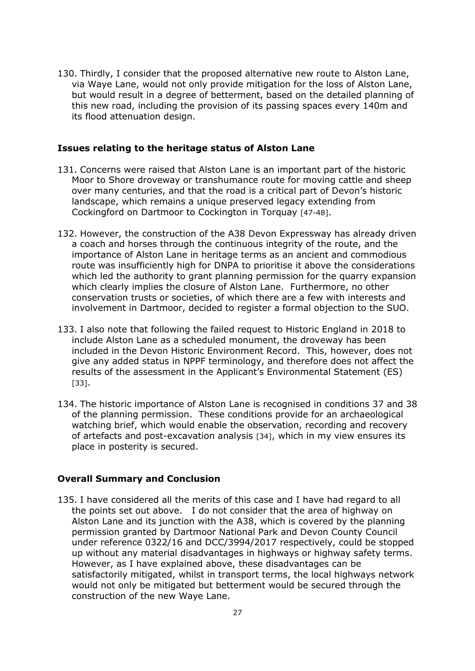130. Thirdly, I consider that the proposed alternative new route to Alston Lane, via Waye Lane, would not only provide mitigation for the loss of Alston Lane, but would result in a degree of betterment, based on the detailed planning of this new road, including the provision of its passing spaces every 140m and its flood attenuation design.

#### **Issues relating to the heritage status of Alston Lane**

- 131. Concerns were raised that Alston Lane is an important part of the historic Moor to Shore droveway or transhumance route for moving cattle and sheep over many centuries, and that the road is a critical part of Devon's historic landscape, which remains a unique preserved legacy extending from Cockingford on Dartmoor to Cockington in Torquay [47-48].
- 132. However, the construction of the A38 Devon Expressway has already driven a coach and horses through the continuous integrity of the route, and the importance of Alston Lane in heritage terms as an ancient and commodious route was insufficiently high for DNPA to prioritise it above the considerations which led the authority to grant planning permission for the quarry expansion which clearly implies the closure of Alston Lane. Furthermore, no other conservation trusts or societies, of which there are a few with interests and involvement in Dartmoor, decided to register a formal objection to the SUO.
- 133. I also note that following the failed request to Historic England in 2018 to include Alston Lane as a scheduled monument, the droveway has been included in the Devon Historic Environment Record. This, however, does not give any added status in NPPF terminology, and therefore does not affect the results of the assessment in the Applicant's Environmental Statement (ES) [33].
- 134. The historic importance of Alston Lane is recognised in conditions 37 and 38 of the planning permission. These conditions provide for an archaeological watching brief, which would enable the observation, recording and recovery of artefacts and post-excavation analysis [34], which in my view ensures its place in posterity is secured.

#### **Overall Summary and Conclusion**

135. I have considered all the merits of this case and I have had regard to all the points set out above. I do not consider that the area of highway on Alston Lane and its junction with the A38, which is covered by the planning permission granted by Dartmoor National Park and Devon County Council under reference 0322/16 and DCC/3994/2017 respectively, could be stopped up without any material disadvantages in highways or highway safety terms. However, as I have explained above, these disadvantages can be satisfactorily mitigated, whilst in transport terms, the local highways network would not only be mitigated but betterment would be secured through the construction of the new Waye Lane.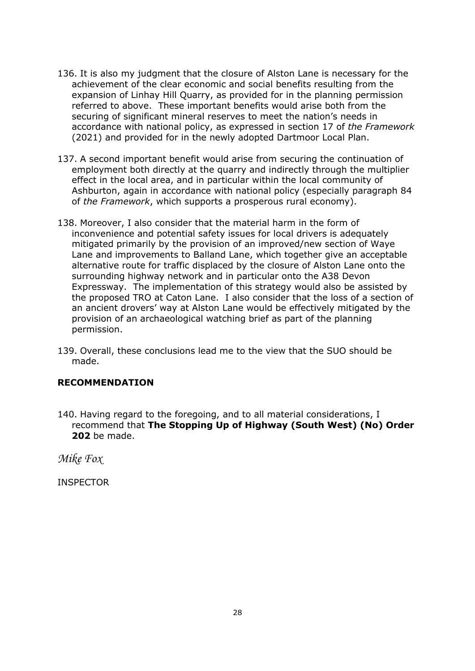- 136. It is also my judgment that the closure of Alston Lane is necessary for the achievement of the clear economic and social benefits resulting from the expansion of Linhay Hill Quarry, as provided for in the planning permission referred to above. These important benefits would arise both from the securing of significant mineral reserves to meet the nation's needs in accordance with national policy, as expressed in section 17 of *the Framework* (2021) and provided for in the newly adopted Dartmoor Local Plan.
- 137. A second important benefit would arise from securing the continuation of employment both directly at the quarry and indirectly through the multiplier effect in the local area, and in particular within the local community of Ashburton, again in accordance with national policy (especially paragraph 84 of *the Framework*, which supports a prosperous rural economy).
- 138. Moreover, I also consider that the material harm in the form of inconvenience and potential safety issues for local drivers is adequately mitigated primarily by the provision of an improved/new section of Waye Lane and improvements to Balland Lane, which together give an acceptable alternative route for traffic displaced by the closure of Alston Lane onto the surrounding highway network and in particular onto the A38 Devon Expressway. The implementation of this strategy would also be assisted by the proposed TRO at Caton Lane. I also consider that the loss of a section of an ancient drovers' way at Alston Lane would be effectively mitigated by the provision of an archaeological watching brief as part of the planning permission.
- 139. Overall, these conclusions lead me to the view that the SUO should be made.

## **RECOMMENDATION**

140. Having regard to the foregoing, and to all material considerations, I recommend that **The Stopping Up of Highway (South West) (No) Order 202** be made.

*Mike Fox*

INSPECTOR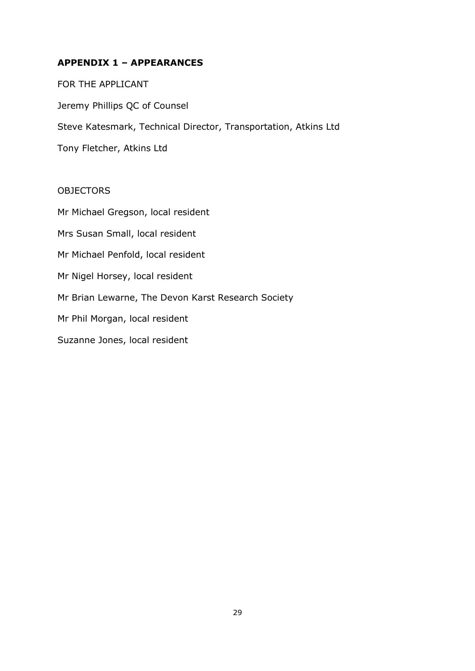## **APPENDIX 1 – APPEARANCES**

FOR THE APPLICANT Jeremy Phillips QC of Counsel Steve Katesmark, Technical Director, Transportation, Atkins Ltd Tony Fletcher, Atkins Ltd

#### OBJECTORS

Mr Michael Gregson, local resident Mrs Susan Small, local resident Mr Michael Penfold, local resident Mr Nigel Horsey, local resident Mr Brian Lewarne, The Devon Karst Research Society Mr Phil Morgan, local resident Suzanne Jones, local resident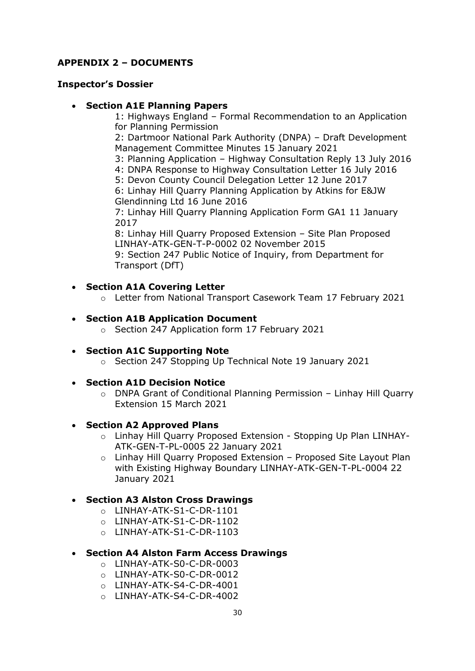## **APPENDIX 2 – DOCUMENTS**

#### **Inspector's Dossier**

#### • **Section A1E Planning Papers**

1: Highways England – Formal Recommendation to an Application for Planning Permission

2: Dartmoor National Park Authority (DNPA) – Draft Development Management Committee Minutes 15 January 2021

3: Planning Application – Highway Consultation Reply 13 July 2016

4: DNPA Response to Highway Consultation Letter 16 July 2016

5: Devon County Council Delegation Letter 12 June 2017

6: Linhay Hill Quarry Planning Application by Atkins for E&JW Glendinning Ltd 16 June 2016

7: Linhay Hill Quarry Planning Application Form GA1 11 January 2017

8: Linhay Hill Quarry Proposed Extension – Site Plan Proposed LINHAY-ATK-GEN-T-P-0002 02 November 2015

9: Section 247 Public Notice of Inquiry, from Department for Transport (DfT)

#### • **Section A1A Covering Letter**

o Letter from National Transport Casework Team 17 February 2021

#### • **Section A1B Application Document**

- o Section 247 Application form 17 February 2021
- **Section A1C Supporting Note**
	- o Section 247 Stopping Up Technical Note 19 January 2021
- **Section A1D Decision Notice**
	- o DNPA Grant of Conditional Planning Permission Linhay Hill Quarry Extension 15 March 2021

#### • **Section A2 Approved Plans**

- o Linhay Hill Quarry Proposed Extension Stopping Up Plan LINHAY-ATK-GEN-T-PL-0005 22 January 2021
- o Linhay Hill Quarry Proposed Extension Proposed Site Layout Plan with Existing Highway Boundary LINHAY-ATK-GEN-T-PL-0004 22 January 2021

## • **Section A3 Alston Cross Drawings**

- o LINHAY-ATK-S1-C-DR-1101
- o LINHAY-ATK-S1-C-DR-1102
- o LINHAY-ATK-S1-C-DR-1103

## • **Section A4 Alston Farm Access Drawings**

- o LINHAY-ATK-S0-C-DR-0003
- o LINHAY-ATK-S0-C-DR-0012
- o LINHAY-ATK-S4-C-DR-4001
- o LINHAY-ATK-S4-C-DR-4002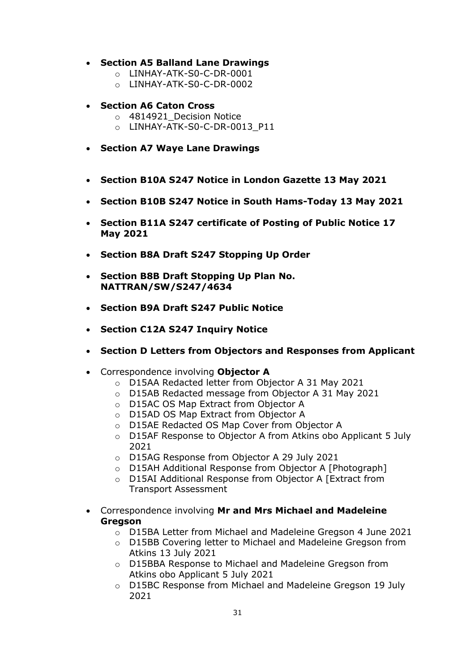### • **Section A5 Balland Lane Drawings**

- o LINHAY-ATK-S0-C-DR-0001
- o LINHAY-ATK-S0-C-DR-0002

### • **Section A6 Caton Cross**

- o 4814921 Decision Notice
- o LINHAY-ATK-S0-C-DR-0013\_P11
- **Section A7 Waye Lane Drawings**
- **Section B10A S247 Notice in London Gazette 13 May 2021**
- **Section B10B S247 Notice in South Hams-Today 13 May 2021**
- **Section B11A S247 certificate of Posting of Public Notice 17 May 2021**
- **Section B8A Draft S247 Stopping Up Order**
- **Section B8B Draft Stopping Up Plan No. NATTRAN/SW/S247/4634**
- **Section B9A Draft S247 Public Notice**
- **Section C12A S247 Inquiry Notice**
- **Section D Letters from Objectors and Responses from Applicant**
- Correspondence involving **Objector A**
	- o D15AA Redacted letter from Objector A 31 May 2021
	- o D15AB Redacted message from Objector A 31 May 2021
	- o D15AC OS Map Extract from Objector A
	- o D15AD OS Map Extract from Objector A
	- o D15AE Redacted OS Map Cover from Objector A
	- o D15AF Response to Objector A from Atkins obo Applicant 5 July 2021
	- o D15AG Response from Objector A 29 July 2021
	- o D15AH Additional Response from Objector A [Photograph]
	- o D15AI Additional Response from Objector A [Extract from Transport Assessment
- Correspondence involving **Mr and Mrs Michael and Madeleine Gregson**
	- o D15BA Letter from Michael and Madeleine Gregson 4 June 2021
	- o D15BB Covering letter to Michael and Madeleine Gregson from Atkins 13 July 2021
	- o D15BBA Response to Michael and Madeleine Gregson from Atkins obo Applicant 5 July 2021
	- o D15BC Response from Michael and Madeleine Gregson 19 July 2021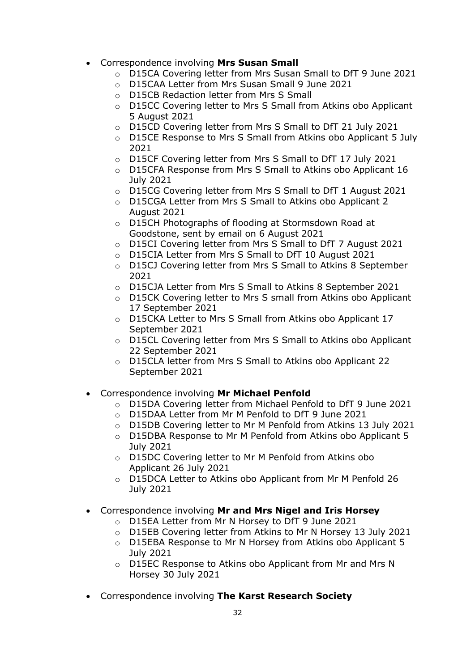- Correspondence involving **Mrs Susan Small**
	- o D15CA Covering letter from Mrs Susan Small to DfT 9 June 2021
	- o D15CAA Letter from Mrs Susan Small 9 June 2021
	- o D15CB Redaction letter from Mrs S Small
	- o D15CC Covering letter to Mrs S Small from Atkins obo Applicant 5 August 2021
	- o D15CD Covering letter from Mrs S Small to DfT 21 July 2021
	- o D15CE Response to Mrs S Small from Atkins obo Applicant 5 July 2021
	- o D15CF Covering letter from Mrs S Small to DfT 17 July 2021
	- o D15CFA Response from Mrs S Small to Atkins obo Applicant 16 July 2021
	- o D15CG Covering letter from Mrs S Small to DfT 1 August 2021
	- o D15CGA Letter from Mrs S Small to Atkins obo Applicant 2 August 2021
	- o D15CH Photographs of flooding at Stormsdown Road at Goodstone, sent by email on 6 August 2021
	- o D15CI Covering letter from Mrs S Small to DfT 7 August 2021
	- o D15CIA Letter from Mrs S Small to DfT 10 August 2021
	- o D15CJ Covering letter from Mrs S Small to Atkins 8 September 2021
	- o D15CJA Letter from Mrs S Small to Atkins 8 September 2021
	- o D15CK Covering letter to Mrs S small from Atkins obo Applicant 17 September 2021
	- o D15CKA Letter to Mrs S Small from Atkins obo Applicant 17 September 2021
	- o D15CL Covering letter from Mrs S Small to Atkins obo Applicant 22 September 2021
	- o D15CLA letter from Mrs S Small to Atkins obo Applicant 22 September 2021
- Correspondence involving **Mr Michael Penfold**
	- o D15DA Covering letter from Michael Penfold to DfT 9 June 2021
	- o D15DAA Letter from Mr M Penfold to DfT 9 June 2021
	- o D15DB Covering letter to Mr M Penfold from Atkins 13 July 2021
	- $\circ$  D15DBA Response to Mr M Penfold from Atkins obo Applicant 5 July 2021
	- o D15DC Covering letter to Mr M Penfold from Atkins obo Applicant 26 July 2021
	- o D15DCA Letter to Atkins obo Applicant from Mr M Penfold 26 July 2021
- Correspondence involving **Mr and Mrs Nigel and Iris Horsey**
	- o D15EA Letter from Mr N Horsey to DfT 9 June 2021
	- o D15EB Covering letter from Atkins to Mr N Horsey 13 July 2021
	- o D15EBA Response to Mr N Horsey from Atkins obo Applicant 5 July 2021
	- o D15EC Response to Atkins obo Applicant from Mr and Mrs N Horsey 30 July 2021
- Correspondence involving **The Karst Research Society**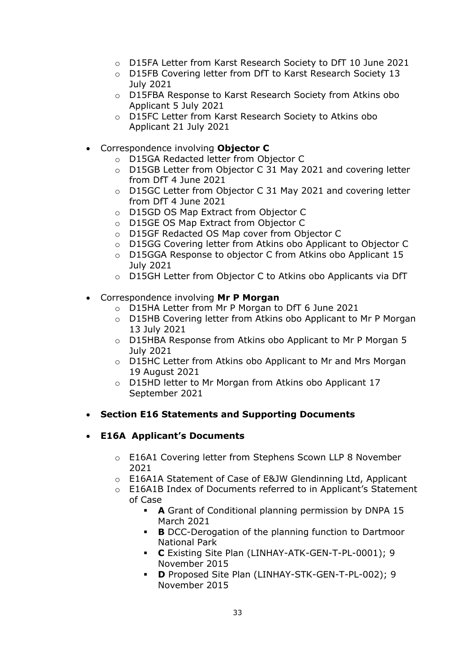- o D15FA Letter from Karst Research Society to DfT 10 June 2021
- o D15FB Covering letter from DfT to Karst Research Society 13 July 2021
- o D15FBA Response to Karst Research Society from Atkins obo Applicant 5 July 2021
- o D15FC Letter from Karst Research Society to Atkins obo Applicant 21 July 2021
- Correspondence involving **Objector C**
	- o D15GA Redacted letter from Objector C
	- o D15GB Letter from Objector C 31 May 2021 and covering letter from DfT 4 June 2021
	- o D15GC Letter from Objector C 31 May 2021 and covering letter from DfT 4 June 2021
	- o D15GD OS Map Extract from Objector C
	- o D15GE OS Map Extract from Objector C
	- o D15GF Redacted OS Map cover from Objector C
	- o D15GG Covering letter from Atkins obo Applicant to Objector C
	- o D15GGA Response to objector C from Atkins obo Applicant 15 July 2021
	- o D15GH Letter from Objector C to Atkins obo Applicants via DfT
- Correspondence involving **Mr P Morgan**
	- o D15HA Letter from Mr P Morgan to DfT 6 June 2021
	- o D15HB Covering letter from Atkins obo Applicant to Mr P Morgan 13 July 2021
	- o D15HBA Response from Atkins obo Applicant to Mr P Morgan 5 July 2021
	- o D15HC Letter from Atkins obo Applicant to Mr and Mrs Morgan 19 August 2021
	- o D15HD letter to Mr Morgan from Atkins obo Applicant 17 September 2021
- **Section E16 Statements and Supporting Documents**
- **E16A Applicant's Documents**
	- o E16A1 Covering letter from Stephens Scown LLP 8 November 2021
	- o E16A1A Statement of Case of E&JW Glendinning Ltd, Applicant
	- o E16A1B Index of Documents referred to in Applicant's Statement of Case
		- **A** Grant of Conditional planning permission by DNPA 15 March 2021
		- **B** DCC-Derogation of the planning function to Dartmoor National Park
		- **C** Existing Site Plan (LINHAY-ATK-GEN-T-PL-0001); 9 November 2015
		- **D** Proposed Site Plan (LINHAY-STK-GEN-T-PL-002); 9 November 2015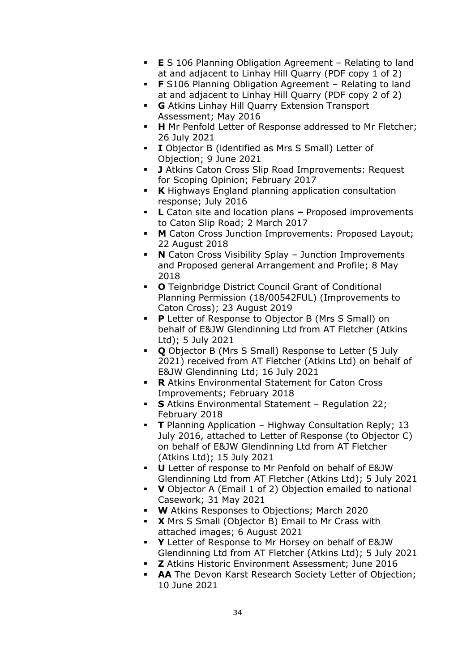- **E** S 106 Planning Obligation Agreement Relating to land at and adjacent to Linhay Hill Quarry (PDF copy 1 of 2)
- **F** S106 Planning Obligation Agreement Relating to land at and adjacent to Linhay Hill Quarry (PDF copy 2 of 2)
- **G** Atkins Linhay Hill Quarry Extension Transport Assessment; May 2016
- **H** Mr Penfold Letter of Response addressed to Mr Fletcher; 26 July 2021
- **I** Objector B (identified as Mrs S Small) Letter of Objection; 9 June 2021
- **J** Atkins Caton Cross Slip Road Improvements: Request for Scoping Opinion; February 2017
- **K** Highways England planning application consultation response; July 2016
- **L** Caton site and location plans **–** Proposed improvements to Caton Slip Road; 2 March 2017
- **M** Caton Cross Junction Improvements: Proposed Layout; 22 August 2018
- **N** Caton Cross Visibility Splay Junction Improvements and Proposed general Arrangement and Profile; 8 May 2018
- **O** Teignbridge District Council Grant of Conditional Planning Permission (18/00542FUL) (Improvements to Caton Cross); 23 August 2019
- **P** Letter of Response to Objector B (Mrs S Small) on behalf of E&JW Glendinning Ltd from AT Fletcher (Atkins Ltd); 5 July 2021
- **Q** Objector B (Mrs S Small) Response to Letter (5 July 2021) received from AT Fletcher (Atkins Ltd) on behalf of E&JW Glendinning Ltd; 16 July 2021
- **R** Atkins Environmental Statement for Caton Cross Improvements; February 2018
- **S** Atkins Environmental Statement Regulation 22; February 2018
- **T** Planning Application Highway Consultation Reply; 13 July 2016, attached to Letter of Response (to Objector C) on behalf of E&JW Glendinning Ltd from AT Fletcher (Atkins Ltd); 15 July 2021
- **U** Letter of response to Mr Penfold on behalf of E&JW Glendinning Ltd from AT Fletcher (Atkins Ltd); 5 July 2021
- **V** Objector A (Email 1 of 2) Objection emailed to national Casework; 31 May 2021
- **W** Atkins Responses to Objections; March 2020
- **X** Mrs S Small (Objector B) Email to Mr Crass with attached images; 6 August 2021
- **Y** Letter of Response to Mr Horsey on behalf of E&JW Glendinning Ltd from AT Fletcher (Atkins Ltd); 5 July 2021
- **Z** Atkins Historic Environment Assessment; June 2016
- **AA** The Devon Karst Research Society Letter of Objection; 10 June 2021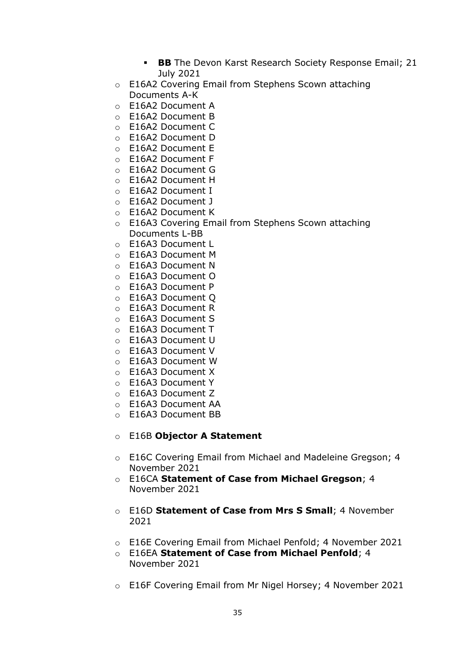- **BB** The Devon Karst Research Society Response Email; 21 July 2021
- o E16A2 Covering Email from Stephens Scown attaching Documents A-K
- o E16A2 Document A
- o E16A2 Document B
- o E16A2 Document C
- o E16A2 Document D
- o E16A2 Document E
- o E16A2 Document F
- o E16A2 Document G
- o E16A2 Document H
- o E16A2 Document I
- o E16A2 Document J
- o E16A2 Document K
- o E16A3 Covering Email from Stephens Scown attaching Documents L-BB
- o E16A3 Document L
- o E16A3 Document M
- o E16A3 Document N
- o E16A3 Document O
- o E16A3 Document P
- o E16A3 Document Q
- o E16A3 Document R
- o E16A3 Document S
- o E16A3 Document T
- o E16A3 Document U
- o E16A3 Document V
- o E16A3 Document W
- o E16A3 Document X
- o E16A3 Document Y
- o E16A3 Document Z
- o E16A3 Document AA
- o E16A3 Document BB

## o E16B **Objector A Statement**

- o E16C Covering Email from Michael and Madeleine Gregson; 4 November 2021
- o E16CA **Statement of Case from Michael Gregson**; 4 November 2021
- o E16D **Statement of Case from Mrs S Small**; 4 November 2021
- o E16E Covering Email from Michael Penfold; 4 November 2021
- o E16EA **Statement of Case from Michael Penfold**; 4 November 2021
- o E16F Covering Email from Mr Nigel Horsey; 4 November 2021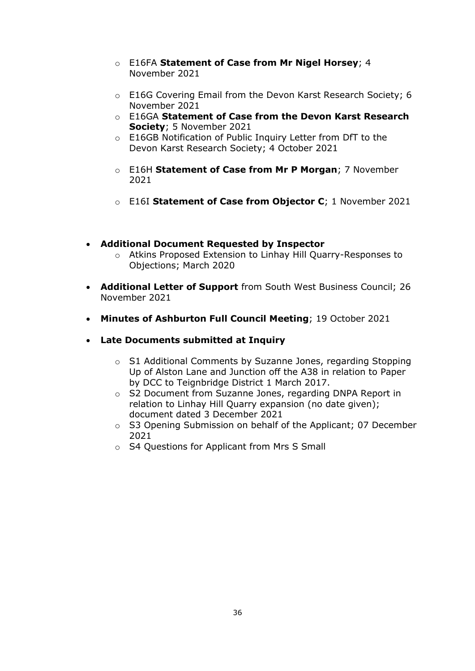- o E16FA **Statement of Case from Mr Nigel Horsey**; 4 November 2021
- o E16G Covering Email from the Devon Karst Research Society; 6 November 2021
- o E16GA **Statement of Case from the Devon Karst Research Society**; 5 November 2021
- o E16GB Notification of Public Inquiry Letter from DfT to the Devon Karst Research Society; 4 October 2021
- o E16H **Statement of Case from Mr P Morgan**; 7 November 2021
- o E16I **Statement of Case from Objector C**; 1 November 2021
- **Additional Document Requested by Inspector**
	- o Atkins Proposed Extension to Linhay Hill Quarry-Responses to Objections; March 2020
- **Additional Letter of Support** from South West Business Council; 26 November 2021
- **Minutes of Ashburton Full Council Meeting**; 19 October 2021
- **Late Documents submitted at Inquiry**
	- o S1 Additional Comments by Suzanne Jones, regarding Stopping Up of Alston Lane and Junction off the A38 in relation to Paper by DCC to Teignbridge District 1 March 2017.
	- o S2 Document from Suzanne Jones, regarding DNPA Report in relation to Linhay Hill Quarry expansion (no date given); document dated 3 December 2021
	- o S3 Opening Submission on behalf of the Applicant; 07 December 2021
	- o S4 Questions for Applicant from Mrs S Small